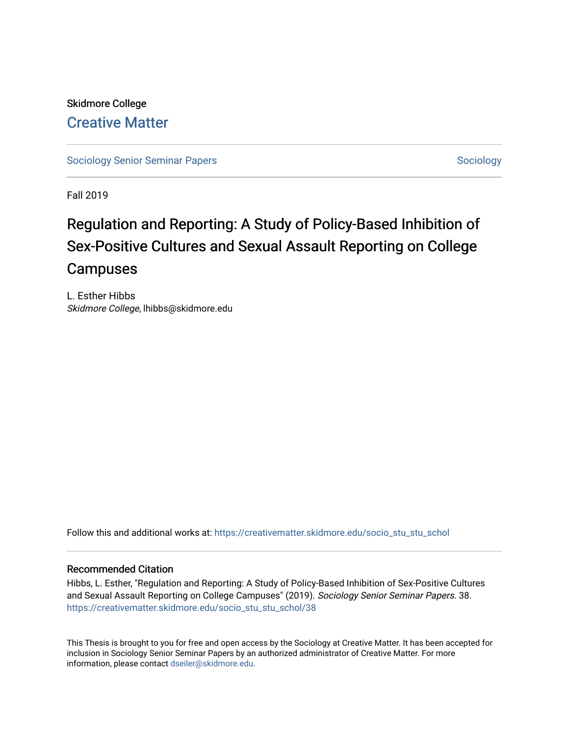Skidmore College [Creative Matter](https://creativematter.skidmore.edu/) 

[Sociology Senior Seminar Papers](https://creativematter.skidmore.edu/socio_stu_stu_schol) [Sociology](https://creativematter.skidmore.edu/stu_schol_socio_stu) Senior Seminar Papers Sociology

Fall 2019

# Regulation and Reporting: A Study of Policy-Based Inhibition of Sex-Positive Cultures and Sexual Assault Reporting on College Campuses

L. Esther Hibbs Skidmore College, lhibbs@skidmore.edu

Follow this and additional works at: [https://creativematter.skidmore.edu/socio\\_stu\\_stu\\_schol](https://creativematter.skidmore.edu/socio_stu_stu_schol?utm_source=creativematter.skidmore.edu%2Fsocio_stu_stu_schol%2F38&utm_medium=PDF&utm_campaign=PDFCoverPages) 

#### Recommended Citation

Hibbs, L. Esther, "Regulation and Reporting: A Study of Policy-Based Inhibition of Sex-Positive Cultures and Sexual Assault Reporting on College Campuses" (2019). Sociology Senior Seminar Papers. 38. [https://creativematter.skidmore.edu/socio\\_stu\\_stu\\_schol/38](https://creativematter.skidmore.edu/socio_stu_stu_schol/38?utm_source=creativematter.skidmore.edu%2Fsocio_stu_stu_schol%2F38&utm_medium=PDF&utm_campaign=PDFCoverPages)

This Thesis is brought to you for free and open access by the Sociology at Creative Matter. It has been accepted for inclusion in Sociology Senior Seminar Papers by an authorized administrator of Creative Matter. For more information, please contact [dseiler@skidmore.edu.](mailto:dseiler@skidmore.edu)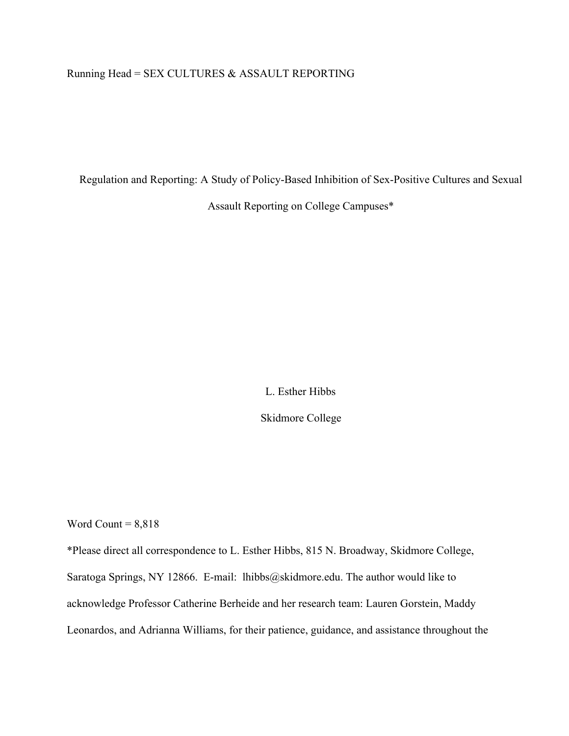### Running Head = SEX CULTURES & ASSAULT REPORTING

Regulation and Reporting: A Study of Policy-Based Inhibition of Sex-Positive Cultures and Sexual

Assault Reporting on College Campuses\*

L. Esther Hibbs Skidmore College

Word Count  $= 8,818$ 

\*Please direct all correspondence to L. Esther Hibbs, 815 N. Broadway, Skidmore College, Saratoga Springs, NY 12866. E-mail: lhibb[s@skidmore.edu](mailto:sstudent@skidmore.edu). The author would like to acknowledge Professor Catherine Berheide and her research team: Lauren Gorstein, Maddy Leonardos, and Adrianna Williams, for their patience, guidance, and assistance throughout the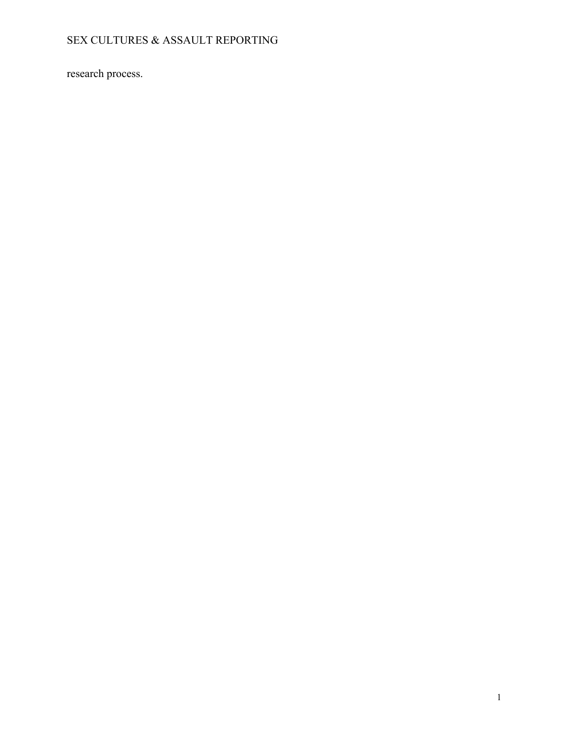research process.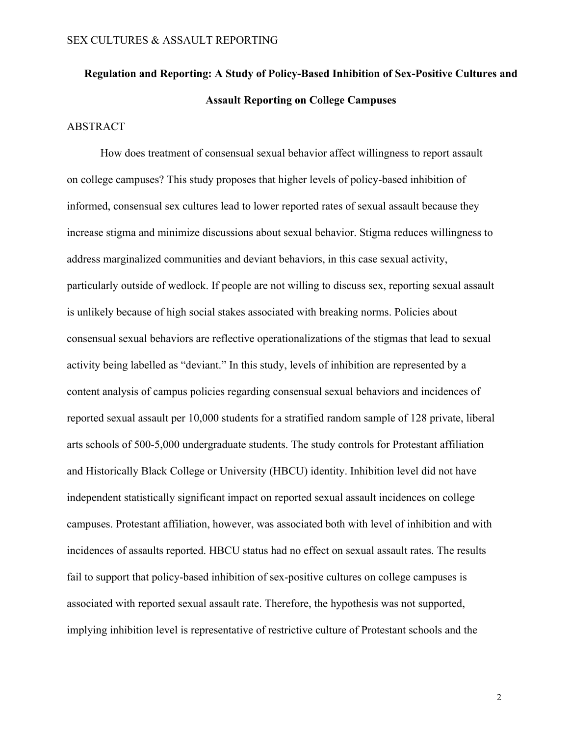# **Regulation and Reporting: A Study of Policy-Based Inhibition of Sex-Positive Cultures and Assault Reporting on College Campuses**

#### ABSTRACT

How does treatment of consensual sexual behavior affect willingness to report assault on college campuses? This study proposes that higher levels of policy-based inhibition of informed, consensual sex cultures lead to lower reported rates of sexual assault because they increase stigma and minimize discussions about sexual behavior. Stigma reduces willingness to address marginalized communities and deviant behaviors, in this case sexual activity, particularly outside of wedlock. If people are not willing to discuss sex, reporting sexual assault is unlikely because of high social stakes associated with breaking norms. Policies about consensual sexual behaviors are reflective operationalizations of the stigmas that lead to sexual activity being labelled as "deviant." In this study, levels of inhibition are represented by a content analysis of campus policies regarding consensual sexual behaviors and incidences of reported sexual assault per 10,000 students for a stratified random sample of 128 private, liberal arts schools of 500-5,000 undergraduate students. The study controls for Protestant affiliation and Historically Black College or University (HBCU) identity. Inhibition level did not have independent statistically significant impact on reported sexual assault incidences on college campuses. Protestant affiliation, however, was associated both with level of inhibition and with incidences of assaults reported. HBCU status had no effect on sexual assault rates. The results fail to support that policy-based inhibition of sex-positive cultures on college campuses is associated with reported sexual assault rate. Therefore, the hypothesis was not supported, implying inhibition level is representative of restrictive culture of Protestant schools and the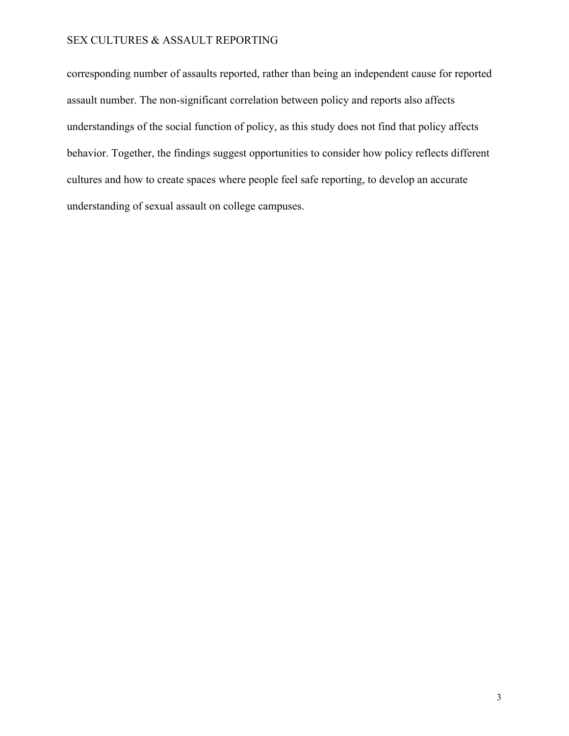corresponding number of assaults reported, rather than being an independent cause for reported assault number. The non-significant correlation between policy and reports also affects understandings of the social function of policy, as this study does not find that policy affects behavior. Together, the findings suggest opportunities to consider how policy reflects different cultures and how to create spaces where people feel safe reporting, to develop an accurate understanding of sexual assault on college campuses.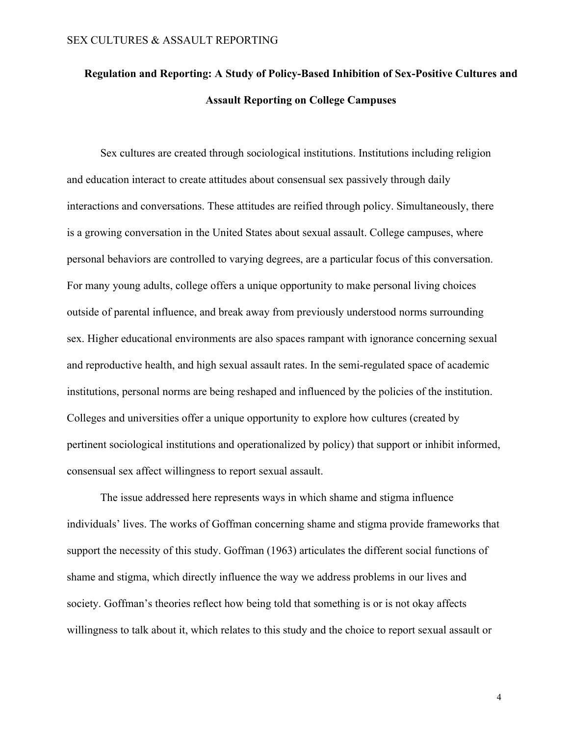# **Regulation and Reporting: A Study of Policy-Based Inhibition of Sex-Positive Cultures and Assault Reporting on College Campuses**

Sex cultures are created through sociological institutions. Institutions including religion and education interact to create attitudes about consensual sex passively through daily interactions and conversations. These attitudes are reified through policy. Simultaneously, there is a growing conversation in the United States about sexual assault. College campuses, where personal behaviors are controlled to varying degrees, are a particular focus of this conversation. For many young adults, college offers a unique opportunity to make personal living choices outside of parental influence, and break away from previously understood norms surrounding sex. Higher educational environments are also spaces rampant with ignorance concerning sexual and reproductive health, and high sexual assault rates. In the semi-regulated space of academic institutions, personal norms are being reshaped and influenced by the policies of the institution. Colleges and universities offer a unique opportunity to explore how cultures (created by pertinent sociological institutions and operationalized by policy) that support or inhibit informed, consensual sex affect willingness to report sexual assault.

The issue addressed here represents ways in which shame and stigma influence individuals' lives. The works of Goffman concerning shame and stigma provide frameworks that support the necessity of this study. Goffman (1963) articulates the different social functions of shame and stigma, which directly influence the way we address problems in our lives and society. Goffman's theories reflect how being told that something is or is not okay affects willingness to talk about it, which relates to this study and the choice to report sexual assault or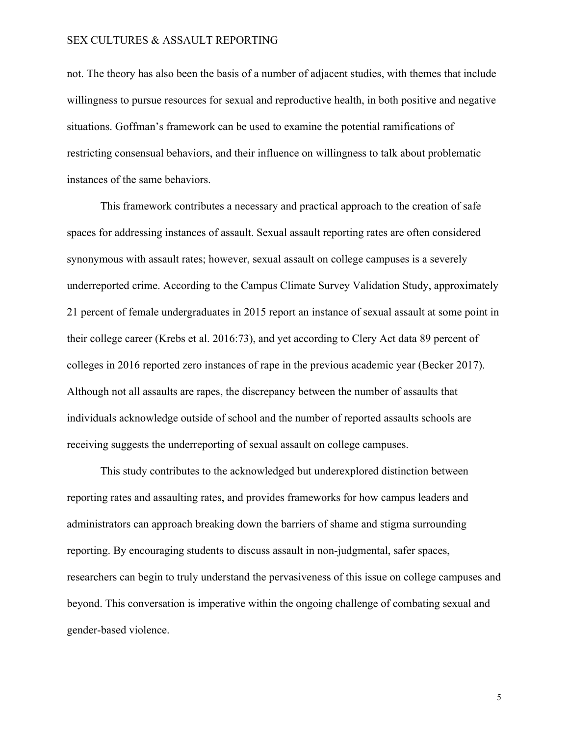not. The theory has also been the basis of a number of adjacent studies, with themes that include willingness to pursue resources for sexual and reproductive health, in both positive and negative situations. Goffman's framework can be used to examine the potential ramifications of restricting consensual behaviors, and their influence on willingness to talk about problematic instances of the same behaviors.

This framework contributes a necessary and practical approach to the creation of safe spaces for addressing instances of assault. Sexual assault reporting rates are often considered synonymous with assault rates; however, sexual assault on college campuses is a severely underreported crime. According to the Campus Climate Survey Validation Study, approximately 21 percent of female undergraduates in 2015 report an instance of sexual assault at some point in their college career (Krebs et al. 2016:73), and yet according to Clery Act data 89 percent of colleges in 2016 reported zero instances of rape in the previous academic year (Becker 2017). Although not all assaults are rapes, the discrepancy between the number of assaults that individuals acknowledge outside of school and the number of reported assaults schools are receiving suggests the underreporting of sexual assault on college campuses.

This study contributes to the acknowledged but underexplored distinction between reporting rates and assaulting rates, and provides frameworks for how campus leaders and administrators can approach breaking down the barriers of shame and stigma surrounding reporting. By encouraging students to discuss assault in non-judgmental, safer spaces, researchers can begin to truly understand the pervasiveness of this issue on college campuses and beyond. This conversation is imperative within the ongoing challenge of combating sexual and gender-based violence.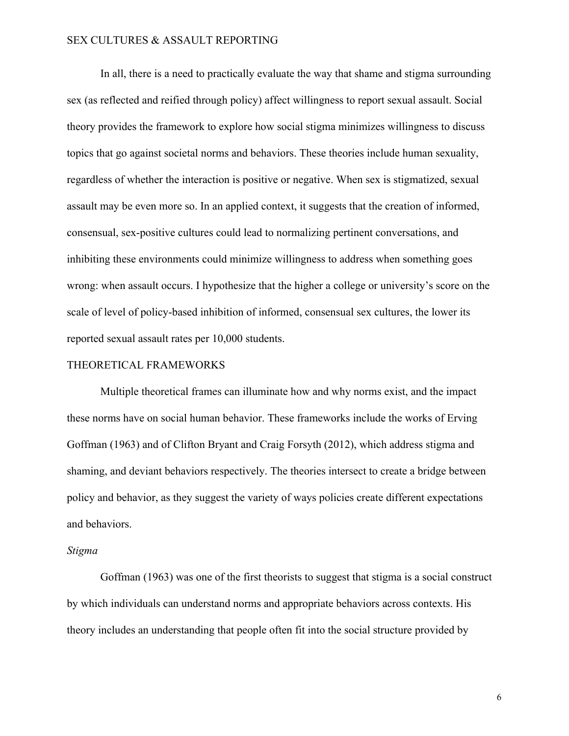In all, there is a need to practically evaluate the way that shame and stigma surrounding sex (as reflected and reified through policy) affect willingness to report sexual assault. Social theory provides the framework to explore how social stigma minimizes willingness to discuss topics that go against societal norms and behaviors. These theories include human sexuality, regardless of whether the interaction is positive or negative. When sex is stigmatized, sexual assault may be even more so. In an applied context, it suggests that the creation of informed, consensual, sex-positive cultures could lead to normalizing pertinent conversations, and inhibiting these environments could minimize willingness to address when something goes wrong: when assault occurs. I hypothesize that the higher a college or university's score on the scale of level of policy-based inhibition of informed, consensual sex cultures, the lower its reported sexual assault rates per 10,000 students.

#### THEORETICAL FRAMEWORKS

Multiple theoretical frames can illuminate how and why norms exist, and the impact these norms have on social human behavior. These frameworks include the works of Erving Goffman (1963) and of Clifton Bryant and Craig Forsyth (2012), which address stigma and shaming, and deviant behaviors respectively. The theories intersect to create a bridge between policy and behavior, as they suggest the variety of ways policies create different expectations and behaviors.

#### *Stigma*

Goffman (1963) was one of the first theorists to suggest that stigma is a social construct by which individuals can understand norms and appropriate behaviors across contexts. His theory includes an understanding that people often fit into the social structure provided by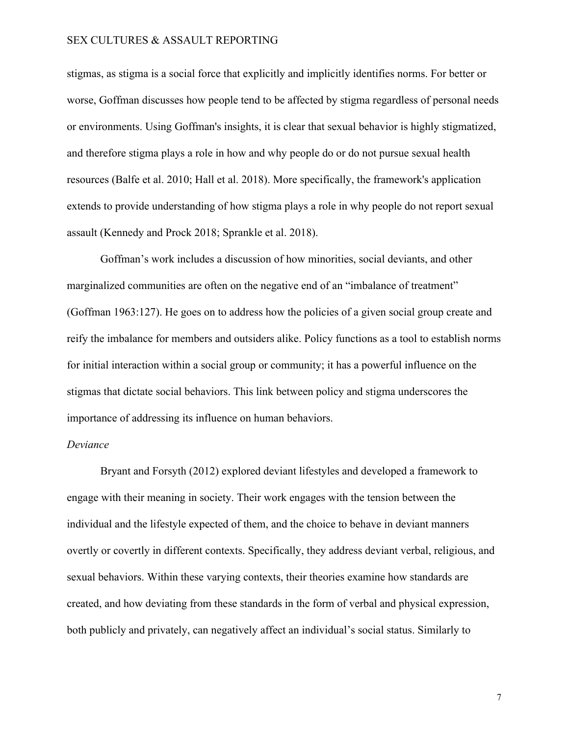stigmas, as stigma is a social force that explicitly and implicitly identifies norms. For better or worse, Goffman discusses how people tend to be affected by stigma regardless of personal needs or environments. Using Goffman's insights, it is clear that sexual behavior is highly stigmatized, and therefore stigma plays a role in how and why people do or do not pursue sexual health resources (Balfe et al. 2010; Hall et al. 2018). More specifically, the framework's application extends to provide understanding of how stigma plays a role in why people do not report sexual assault (Kennedy and Prock 2018; Sprankle et al. 2018).

Goffman's work includes a discussion of how minorities, social deviants, and other marginalized communities are often on the negative end of an "imbalance of treatment" (Goffman 1963:127). He goes on to address how the policies of a given social group create and reify the imbalance for members and outsiders alike. Policy functions as a tool to establish norms for initial interaction within a social group or community; it has a powerful influence on the stigmas that dictate social behaviors. This link between policy and stigma underscores the importance of addressing its influence on human behaviors.

#### *Deviance*

Bryant and Forsyth (2012) explored deviant lifestyles and developed a framework to engage with their meaning in society. Their work engages with the tension between the individual and the lifestyle expected of them, and the choice to behave in deviant manners overtly or covertly in different contexts. Specifically, they address deviant verbal, religious, and sexual behaviors. Within these varying contexts, their theories examine how standards are created, and how deviating from these standards in the form of verbal and physical expression, both publicly and privately, can negatively affect an individual's social status. Similarly to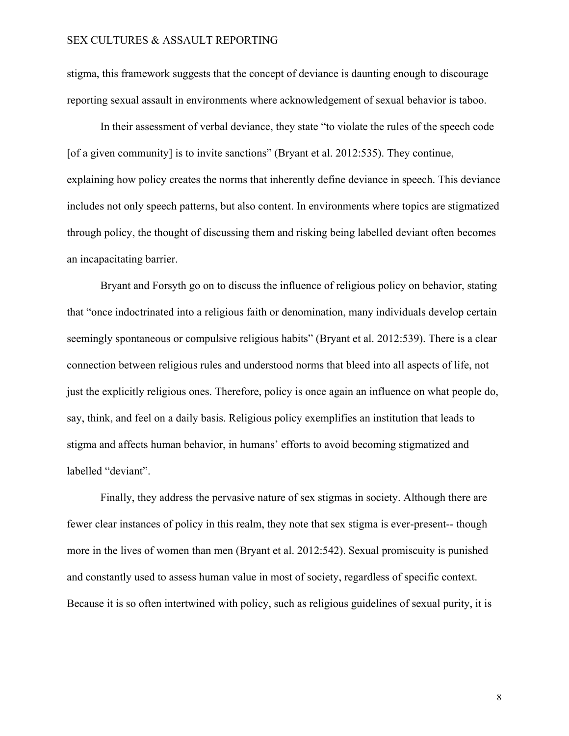stigma, this framework suggests that the concept of deviance is daunting enough to discourage reporting sexual assault in environments where acknowledgement of sexual behavior is taboo.

In their assessment of verbal deviance, they state "to violate the rules of the speech code [of a given community] is to invite sanctions" (Bryant et al. 2012:535). They continue, explaining how policy creates the norms that inherently define deviance in speech. This deviance includes not only speech patterns, but also content. In environments where topics are stigmatized through policy, the thought of discussing them and risking being labelled deviant often becomes an incapacitating barrier.

Bryant and Forsyth go on to discuss the influence of religious policy on behavior, stating that "once indoctrinated into a religious faith or denomination, many individuals develop certain seemingly spontaneous or compulsive religious habits" (Bryant et al. 2012:539). There is a clear connection between religious rules and understood norms that bleed into all aspects of life, not just the explicitly religious ones. Therefore, policy is once again an influence on what people do, say, think, and feel on a daily basis. Religious policy exemplifies an institution that leads to stigma and affects human behavior, in humans' efforts to avoid becoming stigmatized and labelled "deviant".

Finally, they address the pervasive nature of sex stigmas in society. Although there are fewer clear instances of policy in this realm, they note that sex stigma is ever-present-- though more in the lives of women than men (Bryant et al. 2012:542). Sexual promiscuity is punished and constantly used to assess human value in most of society, regardless of specific context. Because it is so often intertwined with policy, such as religious guidelines of sexual purity, it is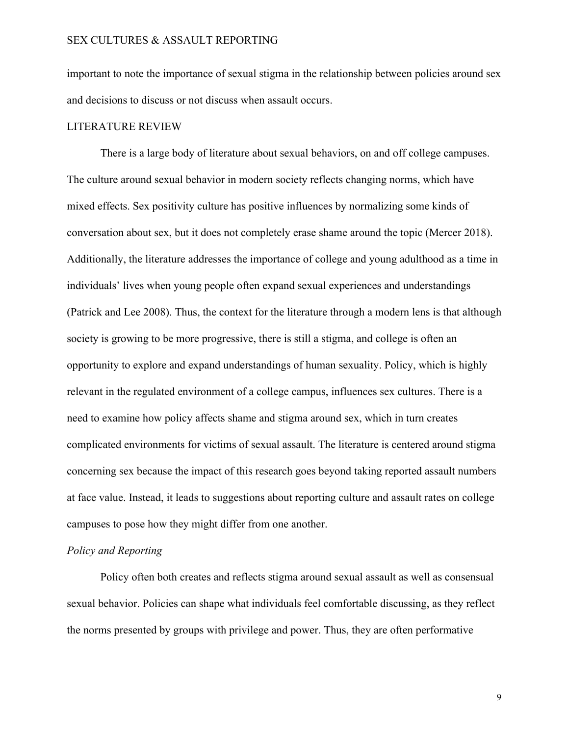important to note the importance of sexual stigma in the relationship between policies around sex and decisions to discuss or not discuss when assault occurs.

#### LITERATURE REVIEW

There is a large body of literature about sexual behaviors, on and off college campuses. The culture around sexual behavior in modern society reflects changing norms, which have mixed effects. Sex positivity culture has positive influences by normalizing some kinds of conversation about sex, but it does not completely erase shame around the topic (Mercer 2018). Additionally, the literature addresses the importance of college and young adulthood as a time in individuals' lives when young people often expand sexual experiences and understandings (Patrick and Lee 2008). Thus, the context for the literature through a modern lens is that although society is growing to be more progressive, there is still a stigma, and college is often an opportunity to explore and expand understandings of human sexuality. Policy, which is highly relevant in the regulated environment of a college campus, influences sex cultures. There is a need to examine how policy affects shame and stigma around sex, which in turn creates complicated environments for victims of sexual assault. The literature is centered around stigma concerning sex because the impact of this research goes beyond taking reported assault numbers at face value. Instead, it leads to suggestions about reporting culture and assault rates on college campuses to pose how they might differ from one another.

### *Policy and Reporting*

Policy often both creates and reflects stigma around sexual assault as well as consensual sexual behavior. Policies can shape what individuals feel comfortable discussing, as they reflect the norms presented by groups with privilege and power. Thus, they are often performative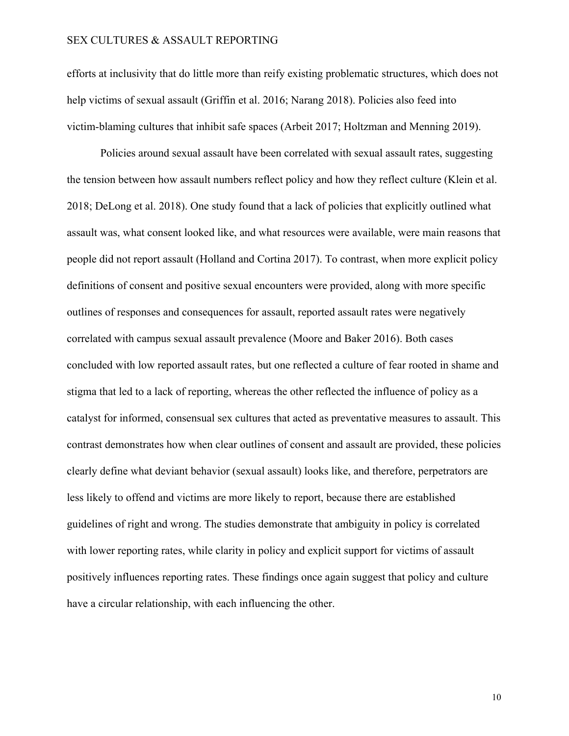efforts at inclusivity that do little more than reify existing problematic structures, which does not help victims of sexual assault (Griffin et al. 2016; Narang 2018). Policies also feed into victim-blaming cultures that inhibit safe spaces (Arbeit 2017; Holtzman and Menning 2019).

Policies around sexual assault have been correlated with sexual assault rates, suggesting the tension between how assault numbers reflect policy and how they reflect culture (Klein et al. 2018; DeLong et al. 2018). One study found that a lack of policies that explicitly outlined what assault was, what consent looked like, and what resources were available, were main reasons that people did not report assault (Holland and Cortina 2017). To contrast, when more explicit policy definitions of consent and positive sexual encounters were provided, along with more specific outlines of responses and consequences for assault, reported assault rates were negatively correlated with campus sexual assault prevalence (Moore and Baker 2016). Both cases concluded with low reported assault rates, but one reflected a culture of fear rooted in shame and stigma that led to a lack of reporting, whereas the other reflected the influence of policy as a catalyst for informed, consensual sex cultures that acted as preventative measures to assault. This contrast demonstrates how when clear outlines of consent and assault are provided, these policies clearly define what deviant behavior (sexual assault) looks like, and therefore, perpetrators are less likely to offend and victims are more likely to report, because there are established guidelines of right and wrong. The studies demonstrate that ambiguity in policy is correlated with lower reporting rates, while clarity in policy and explicit support for victims of assault positively influences reporting rates. These findings once again suggest that policy and culture have a circular relationship, with each influencing the other.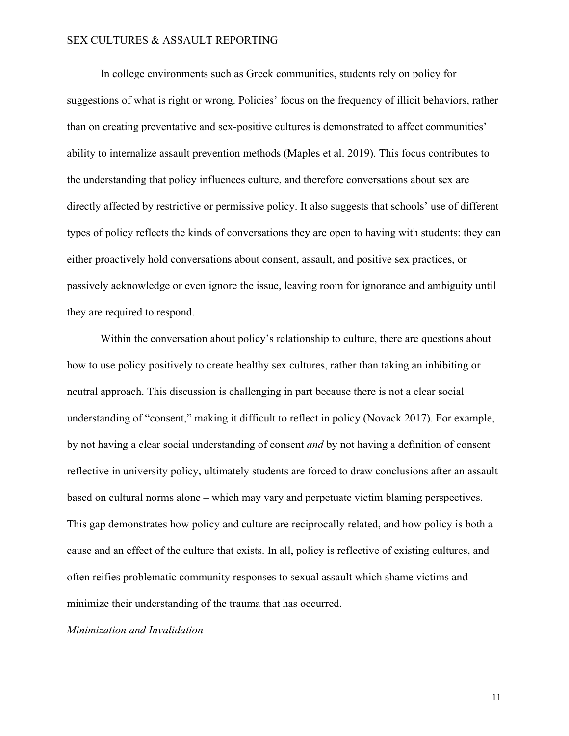In college environments such as Greek communities, students rely on policy for suggestions of what is right or wrong. Policies' focus on the frequency of illicit behaviors, rather than on creating preventative and sex-positive cultures is demonstrated to affect communities' ability to internalize assault prevention methods (Maples et al. 2019). This focus contributes to the understanding that policy influences culture, and therefore conversations about sex are directly affected by restrictive or permissive policy. It also suggests that schools' use of different types of policy reflects the kinds of conversations they are open to having with students: they can either proactively hold conversations about consent, assault, and positive sex practices, or passively acknowledge or even ignore the issue, leaving room for ignorance and ambiguity until they are required to respond.

Within the conversation about policy's relationship to culture, there are questions about how to use policy positively to create healthy sex cultures, rather than taking an inhibiting or neutral approach. This discussion is challenging in part because there is not a clear social understanding of "consent," making it difficult to reflect in policy (Novack 2017). For example, by not having a clear social understanding of consent *and* by not having a definition of consent reflective in university policy, ultimately students are forced to draw conclusions after an assault based on cultural norms alone – which may vary and perpetuate victim blaming perspectives. This gap demonstrates how policy and culture are reciprocally related, and how policy is both a cause and an effect of the culture that exists. In all, policy is reflective of existing cultures, and often reifies problematic community responses to sexual assault which shame victims and minimize their understanding of the trauma that has occurred.

### *Minimization and Invalidation*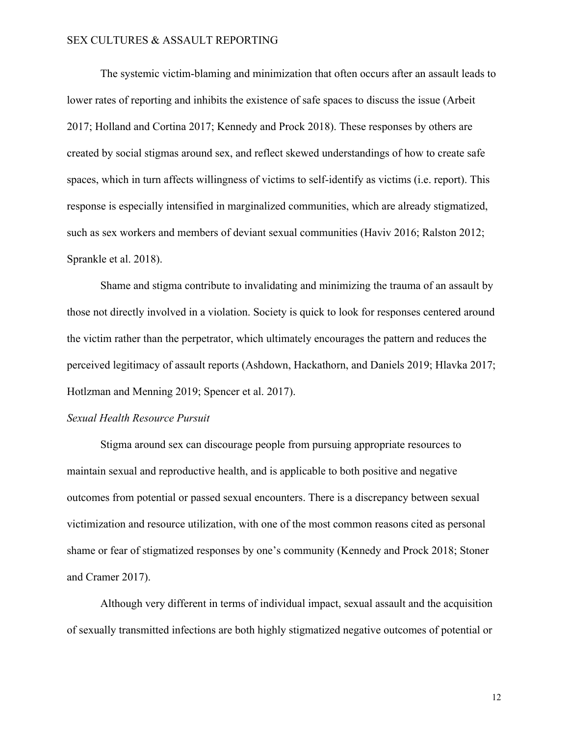The systemic victim-blaming and minimization that often occurs after an assault leads to lower rates of reporting and inhibits the existence of safe spaces to discuss the issue (Arbeit 2017; Holland and Cortina 2017; Kennedy and Prock 2018). These responses by others are created by social stigmas around sex, and reflect skewed understandings of how to create safe spaces, which in turn affects willingness of victims to self-identify as victims (i.e. report). This response is especially intensified in marginalized communities, which are already stigmatized, such as sex workers and members of deviant sexual communities (Haviv 2016; Ralston 2012; Sprankle et al. 2018).

Shame and stigma contribute to invalidating and minimizing the trauma of an assault by those not directly involved in a violation. Society is quick to look for responses centered around the victim rather than the perpetrator, which ultimately encourages the pattern and reduces the perceived legitimacy of assault reports (Ashdown, Hackathorn, and Daniels 2019; Hlavka 2017; Hotlzman and Menning 2019; Spencer et al. 2017).

#### *Sexual Health Resource Pursuit*

Stigma around sex can discourage people from pursuing appropriate resources to maintain sexual and reproductive health, and is applicable to both positive and negative outcomes from potential or passed sexual encounters. There is a discrepancy between sexual victimization and resource utilization, with one of the most common reasons cited as personal shame or fear of stigmatized responses by one's community (Kennedy and Prock 2018; Stoner and Cramer 2017).

Although very different in terms of individual impact, sexual assault and the acquisition of sexually transmitted infections are both highly stigmatized negative outcomes of potential or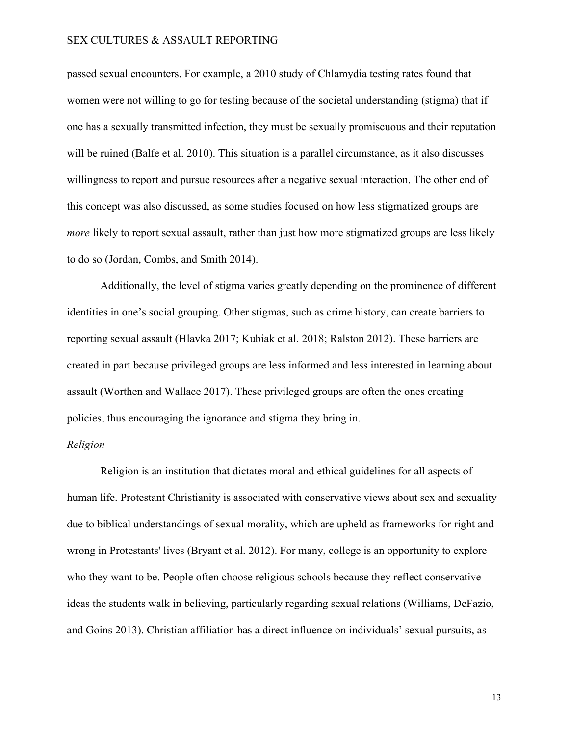passed sexual encounters. For example, a 2010 study of Chlamydia testing rates found that women were not willing to go for testing because of the societal understanding (stigma) that if one has a sexually transmitted infection, they must be sexually promiscuous and their reputation will be ruined (Balfe et al. 2010). This situation is a parallel circumstance, as it also discusses willingness to report and pursue resources after a negative sexual interaction. The other end of this concept was also discussed, as some studies focused on how less stigmatized groups are *more* likely to report sexual assault, rather than just how more stigmatized groups are less likely to do so (Jordan, Combs, and Smith 2014).

Additionally, the level of stigma varies greatly depending on the prominence of different identities in one's social grouping. Other stigmas, such as crime history, can create barriers to reporting sexual assault (Hlavka 2017; Kubiak et al. 2018; Ralston 2012). These barriers are created in part because privileged groups are less informed and less interested in learning about assault (Worthen and Wallace 2017). These privileged groups are often the ones creating policies, thus encouraging the ignorance and stigma they bring in.

### *Religion*

Religion is an institution that dictates moral and ethical guidelines for all aspects of human life. Protestant Christianity is associated with conservative views about sex and sexuality due to biblical understandings of sexual morality, which are upheld as frameworks for right and wrong in Protestants' lives (Bryant et al. 2012). For many, college is an opportunity to explore who they want to be. People often choose religious schools because they reflect conservative ideas the students walk in believing, particularly regarding sexual relations (Williams, DeFazio, and Goins 2013). Christian affiliation has a direct influence on individuals' sexual pursuits, as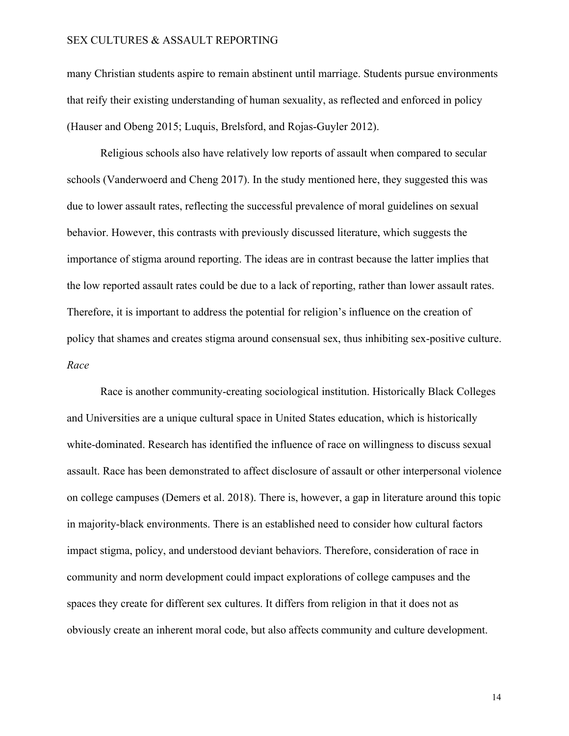many Christian students aspire to remain abstinent until marriage. Students pursue environments that reify their existing understanding of human sexuality, as reflected and enforced in policy (Hauser and Obeng 2015; Luquis, Brelsford, and Rojas-Guyler 2012).

Religious schools also have relatively low reports of assault when compared to secular schools (Vanderwoerd and Cheng 2017). In the study mentioned here, they suggested this was due to lower assault rates, reflecting the successful prevalence of moral guidelines on sexual behavior. However, this contrasts with previously discussed literature, which suggests the importance of stigma around reporting. The ideas are in contrast because the latter implies that the low reported assault rates could be due to a lack of reporting, rather than lower assault rates. Therefore, it is important to address the potential for religion's influence on the creation of policy that shames and creates stigma around consensual sex, thus inhibiting sex-positive culture. *Race*

Race is another community-creating sociological institution. Historically Black Colleges and Universities are a unique cultural space in United States education, which is historically white-dominated. Research has identified the influence of race on willingness to discuss sexual assault. Race has been demonstrated to affect disclosure of assault or other interpersonal violence on college campuses (Demers et al. 2018). There is, however, a gap in literature around this topic in majority-black environments. There is an established need to consider how cultural factors impact stigma, policy, and understood deviant behaviors. Therefore, consideration of race in community and norm development could impact explorations of college campuses and the spaces they create for different sex cultures. It differs from religion in that it does not as obviously create an inherent moral code, but also affects community and culture development.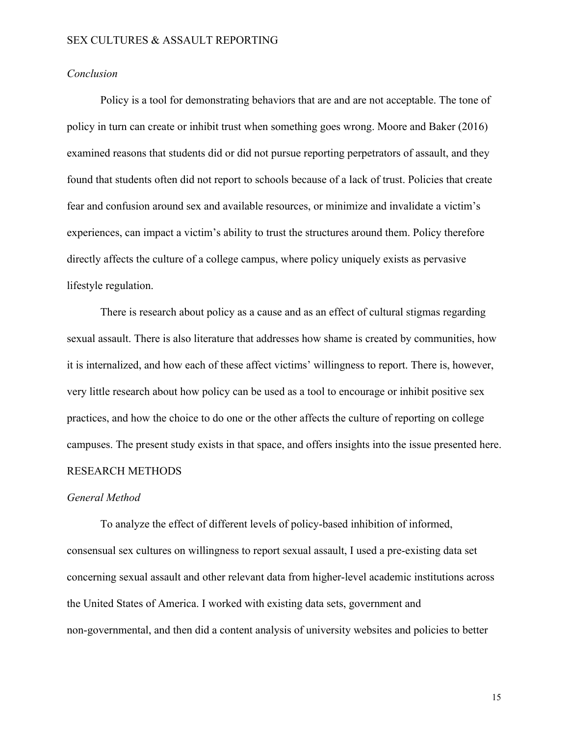### *Conclusion*

Policy is a tool for demonstrating behaviors that are and are not acceptable. The tone of policy in turn can create or inhibit trust when something goes wrong. Moore and Baker (2016) examined reasons that students did or did not pursue reporting perpetrators of assault, and they found that students often did not report to schools because of a lack of trust. Policies that create fear and confusion around sex and available resources, or minimize and invalidate a victim's experiences, can impact a victim's ability to trust the structures around them. Policy therefore directly affects the culture of a college campus, where policy uniquely exists as pervasive lifestyle regulation.

There is research about policy as a cause and as an effect of cultural stigmas regarding sexual assault. There is also literature that addresses how shame is created by communities, how it is internalized, and how each of these affect victims' willingness to report. There is, however, very little research about how policy can be used as a tool to encourage or inhibit positive sex practices, and how the choice to do one or the other affects the culture of reporting on college campuses. The present study exists in that space, and offers insights into the issue presented here. RESEARCH METHODS

#### *General Method*

To analyze the effect of different levels of policy-based inhibition of informed, consensual sex cultures on willingness to report sexual assault, I used a pre-existing data set concerning sexual assault and other relevant data from higher-level academic institutions across the United States of America. I worked with existing data sets, government and non-governmental, and then did a content analysis of university websites and policies to better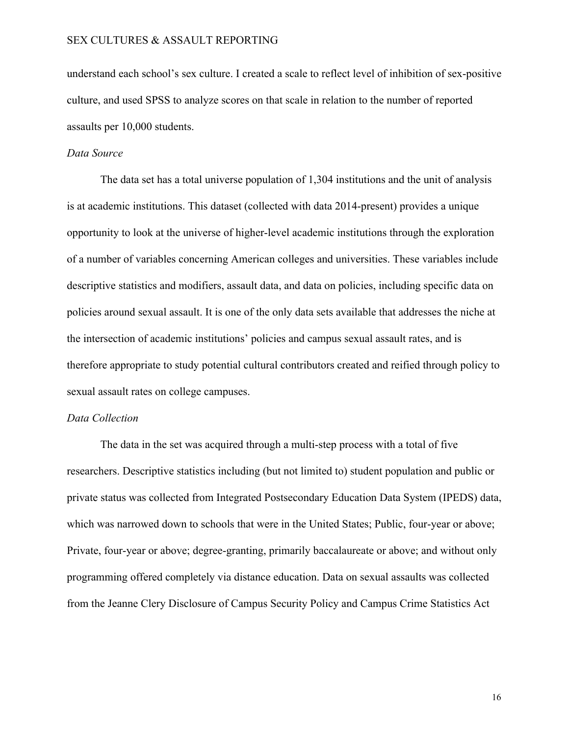understand each school's sex culture. I created a scale to reflect level of inhibition of sex-positive culture, and used SPSS to analyze scores on that scale in relation to the number of reported assaults per 10,000 students.

#### *Data Source*

The data set has a total universe population of 1,304 institutions and the unit of analysis is at academic institutions. This dataset (collected with data 2014-present) provides a unique opportunity to look at the universe of higher-level academic institutions through the exploration of a number of variables concerning American colleges and universities. These variables include descriptive statistics and modifiers, assault data, and data on policies, including specific data on policies around sexual assault. It is one of the only data sets available that addresses the niche at the intersection of academic institutions' policies and campus sexual assault rates, and is therefore appropriate to study potential cultural contributors created and reified through policy to sexual assault rates on college campuses.

#### *Data Collection*

The data in the set was acquired through a multi-step process with a total of five researchers. Descriptive statistics including (but not limited to) student population and public or private status was collected from Integrated Postsecondary Education Data System (IPEDS) data, which was narrowed down to schools that were in the United States; Public, four-year or above; Private, four-year or above; degree-granting, primarily baccalaureate or above; and without only programming offered completely via distance education. Data on sexual assaults was collected from the Jeanne Clery Disclosure of Campus Security Policy and Campus Crime Statistics Act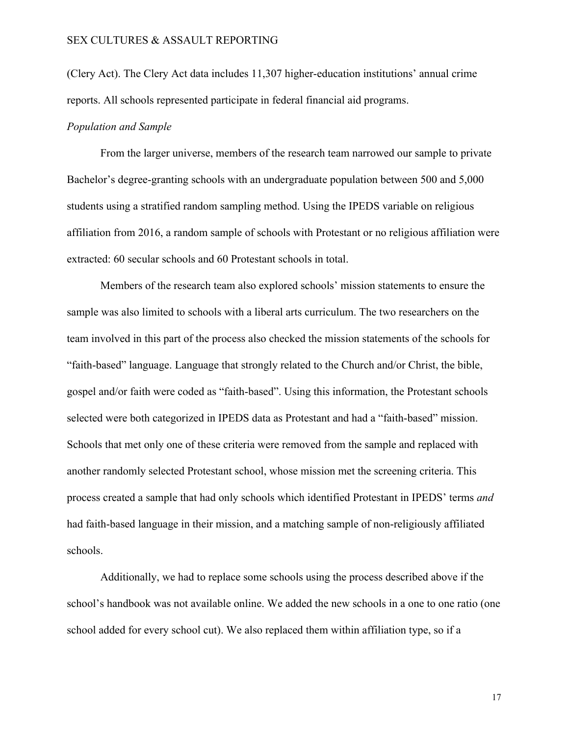(Clery Act). The Clery Act data includes 11,307 higher-education institutions' annual crime reports. All schools represented participate in federal financial aid programs.

#### *Population and Sample*

From the larger universe, members of the research team narrowed our sample to private Bachelor's degree-granting schools with an undergraduate population between 500 and 5,000 students using a stratified random sampling method. Using the IPEDS variable on religious affiliation from 2016, a random sample of schools with Protestant or no religious affiliation were extracted: 60 secular schools and 60 Protestant schools in total.

Members of the research team also explored schools' mission statements to ensure the sample was also limited to schools with a liberal arts curriculum. The two researchers on the team involved in this part of the process also checked the mission statements of the schools for "faith-based" language. Language that strongly related to the Church and/or Christ, the bible, gospel and/or faith were coded as "faith-based". Using this information, the Protestant schools selected were both categorized in IPEDS data as Protestant and had a "faith-based" mission. Schools that met only one of these criteria were removed from the sample and replaced with another randomly selected Protestant school, whose mission met the screening criteria. This process created a sample that had only schools which identified Protestant in IPEDS' terms *and* had faith-based language in their mission, and a matching sample of non-religiously affiliated schools.

Additionally, we had to replace some schools using the process described above if the school's handbook was not available online. We added the new schools in a one to one ratio (one school added for every school cut). We also replaced them within affiliation type, so if a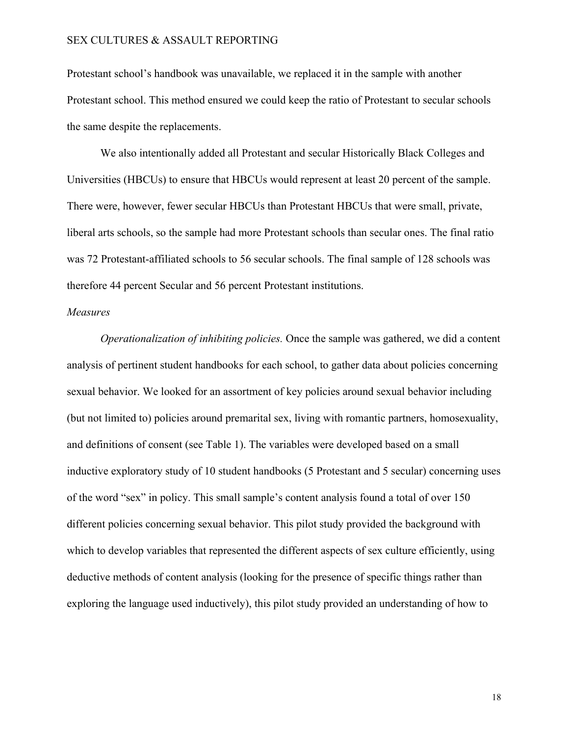Protestant school's handbook was unavailable, we replaced it in the sample with another Protestant school. This method ensured we could keep the ratio of Protestant to secular schools the same despite the replacements.

We also intentionally added all Protestant and secular Historically Black Colleges and Universities (HBCUs) to ensure that HBCUs would represent at least 20 percent of the sample. There were, however, fewer secular HBCUs than Protestant HBCUs that were small, private, liberal arts schools, so the sample had more Protestant schools than secular ones. The final ratio was 72 Protestant-affiliated schools to 56 secular schools. The final sample of 128 schools was therefore 44 percent Secular and 56 percent Protestant institutions.

### *Measures*

*Operationalization of inhibiting policies.* Once the sample was gathered, we did a content analysis of pertinent student handbooks for each school, to gather data about policies concerning sexual behavior. We looked for an assortment of key policies around sexual behavior including (but not limited to) policies around premarital sex, living with romantic partners, homosexuality, and definitions of consent (see Table 1). The variables were developed based on a small inductive exploratory study of 10 student handbooks (5 Protestant and 5 secular) concerning uses of the word "sex" in policy. This small sample's content analysis found a total of over 150 different policies concerning sexual behavior. This pilot study provided the background with which to develop variables that represented the different aspects of sex culture efficiently, using deductive methods of content analysis (looking for the presence of specific things rather than exploring the language used inductively), this pilot study provided an understanding of how to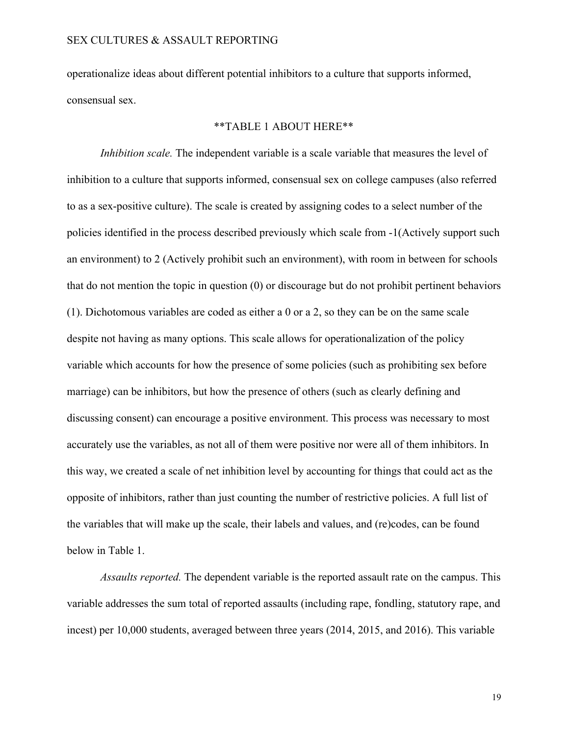operationalize ideas about different potential inhibitors to a culture that supports informed, consensual sex.

#### \*\*TABLE 1 ABOUT HERE\*\*

*Inhibition scale.* The independent variable is a scale variable that measures the level of inhibition to a culture that supports informed, consensual sex on college campuses (also referred to as a sex-positive culture). The scale is created by assigning codes to a select number of the policies identified in the process described previously which scale from -1(Actively support such an environment) to 2 (Actively prohibit such an environment), with room in between for schools that do not mention the topic in question (0) or discourage but do not prohibit pertinent behaviors (1). Dichotomous variables are coded as either a 0 or a 2, so they can be on the same scale despite not having as many options. This scale allows for operationalization of the policy variable which accounts for how the presence of some policies (such as prohibiting sex before marriage) can be inhibitors, but how the presence of others (such as clearly defining and discussing consent) can encourage a positive environment. This process was necessary to most accurately use the variables, as not all of them were positive nor were all of them inhibitors. In this way, we created a scale of net inhibition level by accounting for things that could act as the opposite of inhibitors, rather than just counting the number of restrictive policies. A full list of the variables that will make up the scale, their labels and values, and (re)codes, can be found below in Table 1.

*Assaults reported.* The dependent variable is the reported assault rate on the campus. This variable addresses the sum total of reported assaults (including rape, fondling, statutory rape, and incest) per 10,000 students, averaged between three years (2014, 2015, and 2016). This variable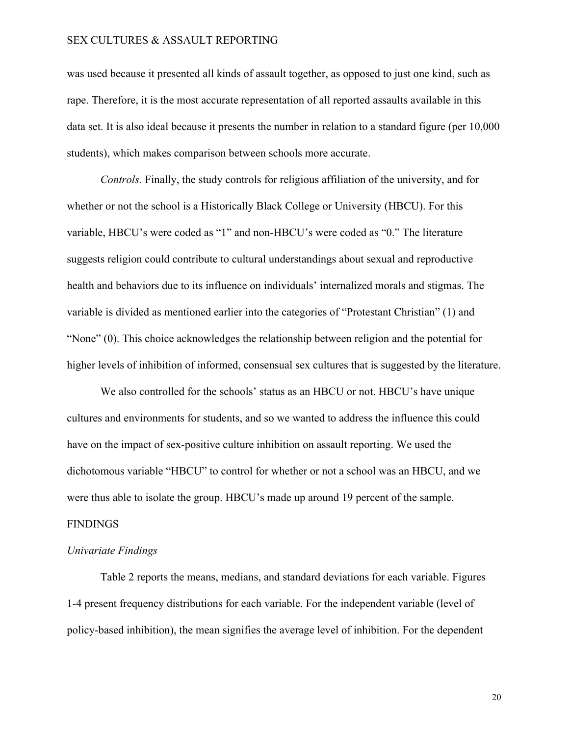was used because it presented all kinds of assault together, as opposed to just one kind, such as rape. Therefore, it is the most accurate representation of all reported assaults available in this data set. It is also ideal because it presents the number in relation to a standard figure (per 10,000 students), which makes comparison between schools more accurate.

*Controls.* Finally, the study controls for religious affiliation of the university, and for whether or not the school is a Historically Black College or University (HBCU). For this variable, HBCU's were coded as "1" and non-HBCU's were coded as "0." The literature suggests religion could contribute to cultural understandings about sexual and reproductive health and behaviors due to its influence on individuals' internalized morals and stigmas. The variable is divided as mentioned earlier into the categories of "Protestant Christian" (1) and "None" (0). This choice acknowledges the relationship between religion and the potential for higher levels of inhibition of informed, consensual sex cultures that is suggested by the literature.

We also controlled for the schools' status as an HBCU or not. HBCU's have unique cultures and environments for students, and so we wanted to address the influence this could have on the impact of sex-positive culture inhibition on assault reporting. We used the dichotomous variable "HBCU" to control for whether or not a school was an HBCU, and we were thus able to isolate the group. HBCU's made up around 19 percent of the sample. FINDINGS

### *Univariate Findings*

Table 2 reports the means, medians, and standard deviations for each variable. Figures 1-4 present frequency distributions for each variable. For the independent variable (level of policy-based inhibition), the mean signifies the average level of inhibition. For the dependent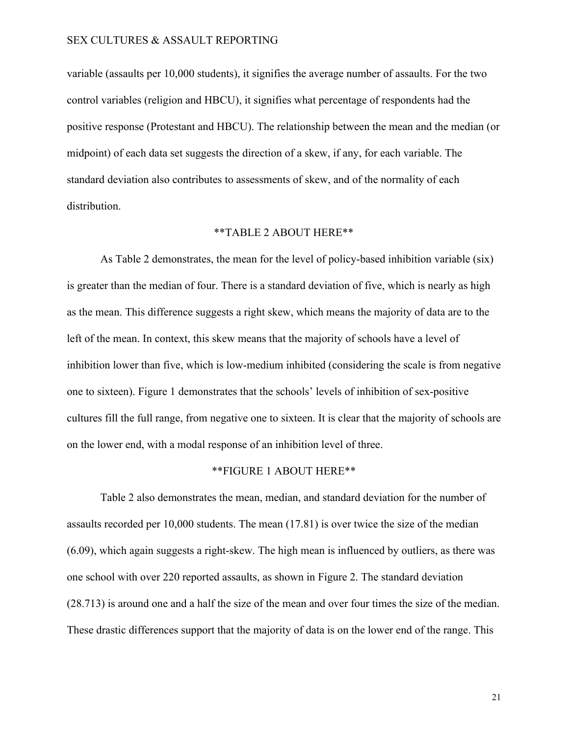variable (assaults per 10,000 students), it signifies the average number of assaults. For the two control variables (religion and HBCU), it signifies what percentage of respondents had the positive response (Protestant and HBCU). The relationship between the mean and the median (or midpoint) of each data set suggests the direction of a skew, if any, for each variable. The standard deviation also contributes to assessments of skew, and of the normality of each distribution.

### \*\*TABLE 2 ABOUT HERE\*\*

As Table 2 demonstrates, the mean for the level of policy-based inhibition variable (six) is greater than the median of four. There is a standard deviation of five, which is nearly as high as the mean. This difference suggests a right skew, which means the majority of data are to the left of the mean. In context, this skew means that the majority of schools have a level of inhibition lower than five, which is low-medium inhibited (considering the scale is from negative one to sixteen). Figure 1 demonstrates that the schools' levels of inhibition of sex-positive cultures fill the full range, from negative one to sixteen. It is clear that the majority of schools are on the lower end, with a modal response of an inhibition level of three.

### \*\*FIGURE 1 ABOUT HERE\*\*

Table 2 also demonstrates the mean, median, and standard deviation for the number of assaults recorded per 10,000 students. The mean (17.81) is over twice the size of the median (6.09), which again suggests a right-skew. The high mean is influenced by outliers, as there was one school with over 220 reported assaults, as shown in Figure 2. The standard deviation (28.713) is around one and a half the size of the mean and over four times the size of the median. These drastic differences support that the majority of data is on the lower end of the range. This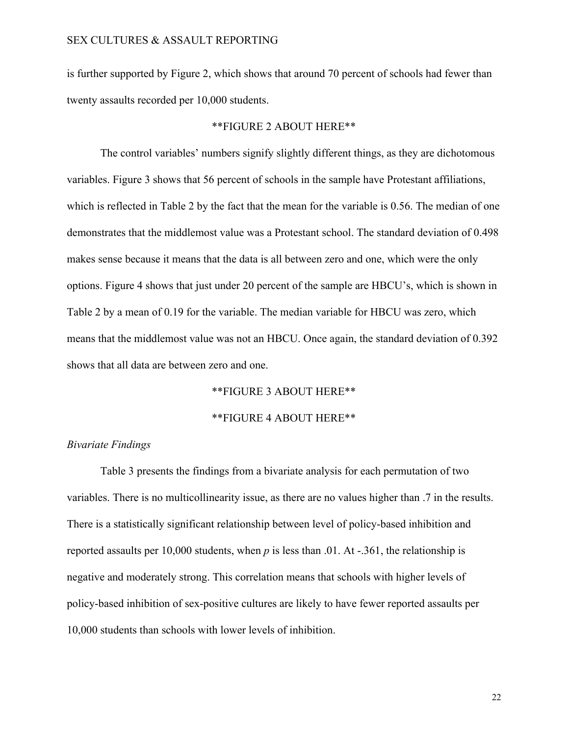is further supported by Figure 2, which shows that around 70 percent of schools had fewer than twenty assaults recorded per 10,000 students.

#### \*\*FIGURE 2 ABOUT HERE\*\*

The control variables' numbers signify slightly different things, as they are dichotomous variables. Figure 3 shows that 56 percent of schools in the sample have Protestant affiliations, which is reflected in Table 2 by the fact that the mean for the variable is 0.56. The median of one demonstrates that the middlemost value was a Protestant school. The standard deviation of 0.498 makes sense because it means that the data is all between zero and one, which were the only options. Figure 4 shows that just under 20 percent of the sample are HBCU's, which is shown in Table 2 by a mean of 0.19 for the variable. The median variable for HBCU was zero, which means that the middlemost value was not an HBCU. Once again, the standard deviation of 0.392 shows that all data are between zero and one.

\*\*FIGURE 3 ABOUT HERE\*\*

#### \*\*FIGURE 4 ABOUT HERE\*\*

### *Bivariate Findings*

Table 3 presents the findings from a bivariate analysis for each permutation of two variables. There is no multicollinearity issue, as there are no values higher than .7 in the results. There is a statistically significant relationship between level of policy-based inhibition and reported assaults per 10,000 students, when *p* is less than .01. At -.361, the relationship is negative and moderately strong. This correlation means that schools with higher levels of policy-based inhibition of sex-positive cultures are likely to have fewer reported assaults per 10,000 students than schools with lower levels of inhibition.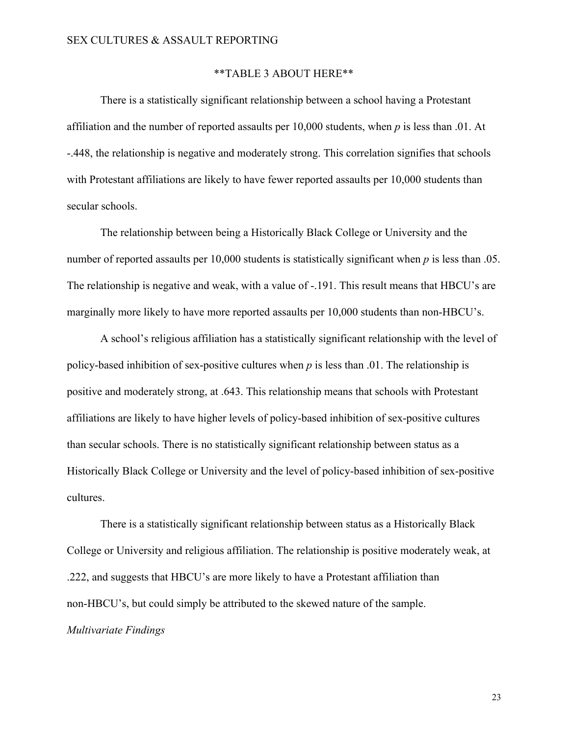#### \*\*TABLE 3 ABOUT HERE\*\*

There is a statistically significant relationship between a school having a Protestant affiliation and the number of reported assaults per 10,000 students, when *p* is less than .01. At -.448, the relationship is negative and moderately strong. This correlation signifies that schools with Protestant affiliations are likely to have fewer reported assaults per 10,000 students than secular schools.

The relationship between being a Historically Black College or University and the number of reported assaults per 10,000 students is statistically significant when *p* is less than .05. The relationship is negative and weak, with a value of -.191. This result means that HBCU's are marginally more likely to have more reported assaults per 10,000 students than non-HBCU's.

A school's religious affiliation has a statistically significant relationship with the level of policy-based inhibition of sex-positive cultures when *p* is less than .01. The relationship is positive and moderately strong, at .643. This relationship means that schools with Protestant affiliations are likely to have higher levels of policy-based inhibition of sex-positive cultures than secular schools. There is no statistically significant relationship between status as a Historically Black College or University and the level of policy-based inhibition of sex-positive cultures.

There is a statistically significant relationship between status as a Historically Black College or University and religious affiliation. The relationship is positive moderately weak, at .222, and suggests that HBCU's are more likely to have a Protestant affiliation than non-HBCU's, but could simply be attributed to the skewed nature of the sample.

### *Multivariate Findings*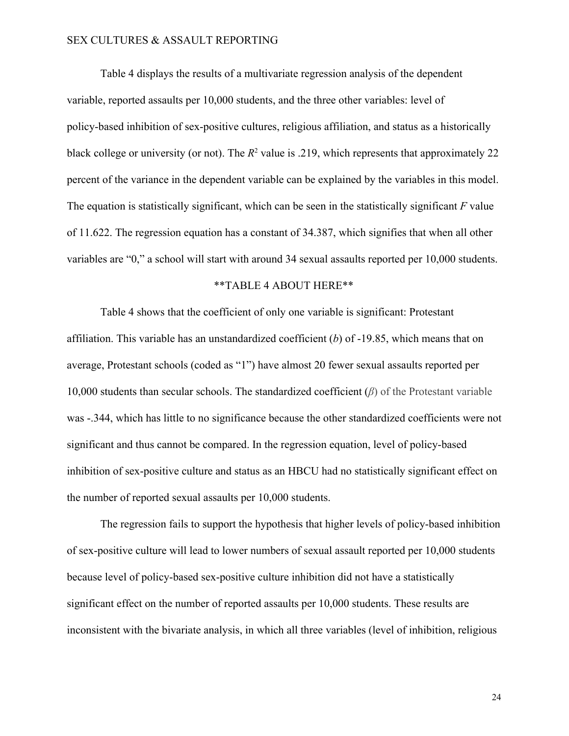Table 4 displays the results of a multivariate regression analysis of the dependent variable, reported assaults per 10,000 students, and the three other variables: level of policy-based inhibition of sex-positive cultures, religious affiliation, and status as a historically black college or university (or not). The  $R^2$  value is .219, which represents that approximately 22 percent of the variance in the dependent variable can be explained by the variables in this model. The equation is statistically significant, which can be seen in the statistically significant *F* value of 11.622. The regression equation has a constant of 34.387, which signifies that when all other variables are "0," a school will start with around 34 sexual assaults reported per 10,000 students.

#### \*\*TABLE 4 ABOUT HERE\*\*

Table 4 shows that the coefficient of only one variable is significant: Protestant affiliation. This variable has an unstandardized coefficient (*b*) of -19.85, which means that on average, Protestant schools (coded as "1") have almost 20 fewer sexual assaults reported per 10,000 students than secular schools. The standardized coefficient (*β*) of the Protestant variable was -.344, which has little to no significance because the other standardized coefficients were not significant and thus cannot be compared. In the regression equation, level of policy-based inhibition of sex-positive culture and status as an HBCU had no statistically significant effect on the number of reported sexual assaults per 10,000 students.

The regression fails to support the hypothesis that higher levels of policy-based inhibition of sex-positive culture will lead to lower numbers of sexual assault reported per 10,000 students because level of policy-based sex-positive culture inhibition did not have a statistically significant effect on the number of reported assaults per 10,000 students. These results are inconsistent with the bivariate analysis, in which all three variables (level of inhibition, religious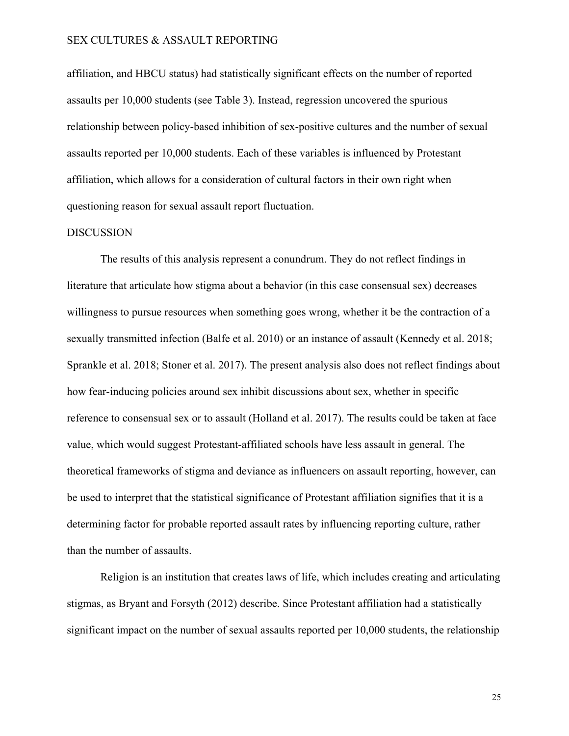affiliation, and HBCU status) had statistically significant effects on the number of reported assaults per 10,000 students (see Table 3). Instead, regression uncovered the spurious relationship between policy-based inhibition of sex-positive cultures and the number of sexual assaults reported per 10,000 students. Each of these variables is influenced by Protestant affiliation, which allows for a consideration of cultural factors in their own right when questioning reason for sexual assault report fluctuation.

#### DISCUSSION

The results of this analysis represent a conundrum. They do not reflect findings in literature that articulate how stigma about a behavior (in this case consensual sex) decreases willingness to pursue resources when something goes wrong, whether it be the contraction of a sexually transmitted infection (Balfe et al. 2010) or an instance of assault (Kennedy et al. 2018; Sprankle et al. 2018; Stoner et al. 2017). The present analysis also does not reflect findings about how fear-inducing policies around sex inhibit discussions about sex, whether in specific reference to consensual sex or to assault (Holland et al. 2017). The results could be taken at face value, which would suggest Protestant-affiliated schools have less assault in general. The theoretical frameworks of stigma and deviance as influencers on assault reporting, however, can be used to interpret that the statistical significance of Protestant affiliation signifies that it is a determining factor for probable reported assault rates by influencing reporting culture, rather than the number of assaults.

Religion is an institution that creates laws of life, which includes creating and articulating stigmas, as Bryant and Forsyth (2012) describe. Since Protestant affiliation had a statistically significant impact on the number of sexual assaults reported per 10,000 students, the relationship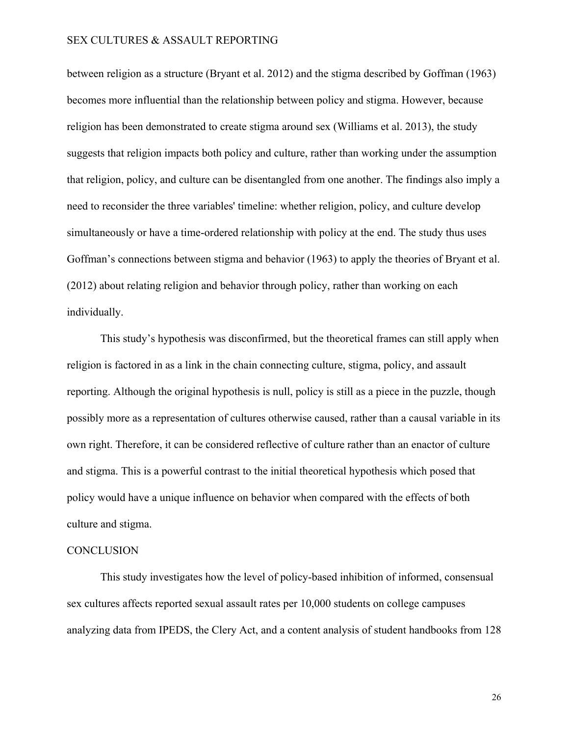between religion as a structure (Bryant et al. 2012) and the stigma described by Goffman (1963) becomes more influential than the relationship between policy and stigma. However, because religion has been demonstrated to create stigma around sex (Williams et al. 2013), the study suggests that religion impacts both policy and culture, rather than working under the assumption that religion, policy, and culture can be disentangled from one another. The findings also imply a need to reconsider the three variables' timeline: whether religion, policy, and culture develop simultaneously or have a time-ordered relationship with policy at the end. The study thus uses Goffman's connections between stigma and behavior (1963) to apply the theories of Bryant et al. (2012) about relating religion and behavior through policy, rather than working on each individually.

This study's hypothesis was disconfirmed, but the theoretical frames can still apply when religion is factored in as a link in the chain connecting culture, stigma, policy, and assault reporting. Although the original hypothesis is null, policy is still as a piece in the puzzle, though possibly more as a representation of cultures otherwise caused, rather than a causal variable in its own right. Therefore, it can be considered reflective of culture rather than an enactor of culture and stigma. This is a powerful contrast to the initial theoretical hypothesis which posed that policy would have a unique influence on behavior when compared with the effects of both culture and stigma.

#### **CONCLUSION**

This study investigates how the level of policy-based inhibition of informed, consensual sex cultures affects reported sexual assault rates per 10,000 students on college campuses analyzing data from IPEDS, the Clery Act, and a content analysis of student handbooks from 128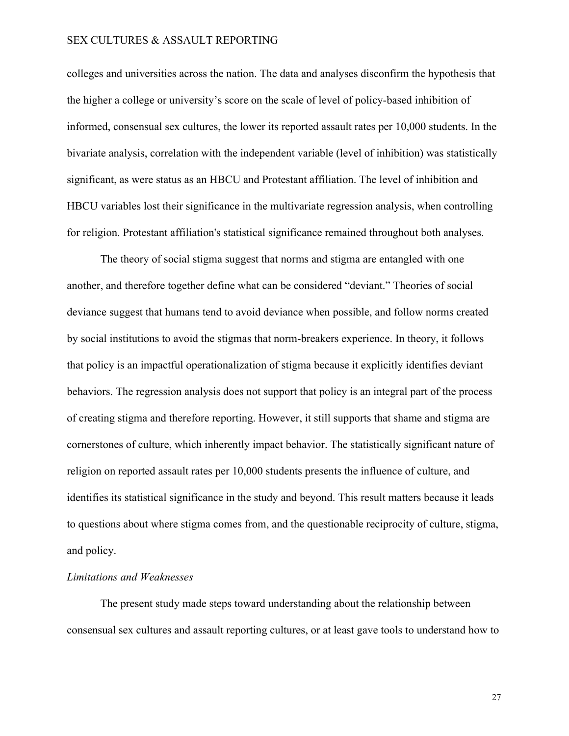colleges and universities across the nation. The data and analyses disconfirm the hypothesis that the higher a college or university's score on the scale of level of policy-based inhibition of informed, consensual sex cultures, the lower its reported assault rates per 10,000 students. In the bivariate analysis, correlation with the independent variable (level of inhibition) was statistically significant, as were status as an HBCU and Protestant affiliation. The level of inhibition and HBCU variables lost their significance in the multivariate regression analysis, when controlling for religion. Protestant affiliation's statistical significance remained throughout both analyses.

The theory of social stigma suggest that norms and stigma are entangled with one another, and therefore together define what can be considered "deviant." Theories of social deviance suggest that humans tend to avoid deviance when possible, and follow norms created by social institutions to avoid the stigmas that norm-breakers experience. In theory, it follows that policy is an impactful operationalization of stigma because it explicitly identifies deviant behaviors. The regression analysis does not support that policy is an integral part of the process of creating stigma and therefore reporting. However, it still supports that shame and stigma are cornerstones of culture, which inherently impact behavior. The statistically significant nature of religion on reported assault rates per 10,000 students presents the influence of culture, and identifies its statistical significance in the study and beyond. This result matters because it leads to questions about where stigma comes from, and the questionable reciprocity of culture, stigma, and policy.

#### *Limitations and Weaknesses*

The present study made steps toward understanding about the relationship between consensual sex cultures and assault reporting cultures, or at least gave tools to understand how to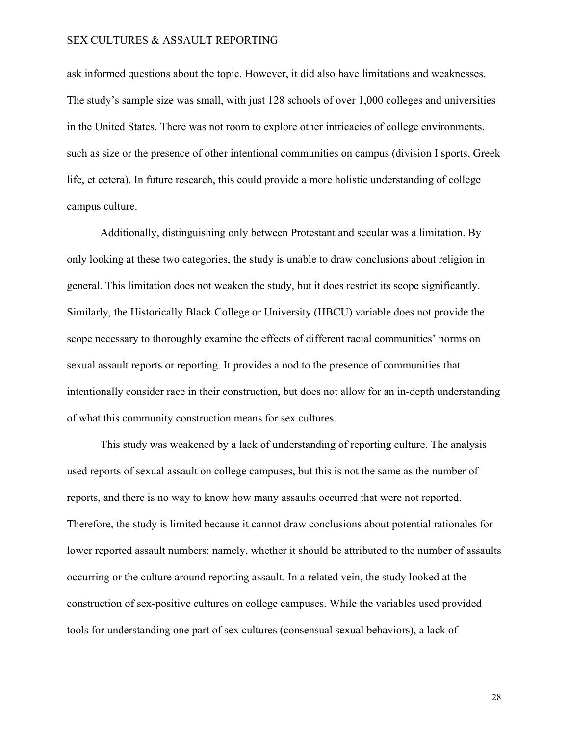ask informed questions about the topic. However, it did also have limitations and weaknesses. The study's sample size was small, with just 128 schools of over 1,000 colleges and universities in the United States. There was not room to explore other intricacies of college environments, such as size or the presence of other intentional communities on campus (division I sports, Greek life, et cetera). In future research, this could provide a more holistic understanding of college campus culture.

Additionally, distinguishing only between Protestant and secular was a limitation. By only looking at these two categories, the study is unable to draw conclusions about religion in general. This limitation does not weaken the study, but it does restrict its scope significantly. Similarly, the Historically Black College or University (HBCU) variable does not provide the scope necessary to thoroughly examine the effects of different racial communities' norms on sexual assault reports or reporting. It provides a nod to the presence of communities that intentionally consider race in their construction, but does not allow for an in-depth understanding of what this community construction means for sex cultures.

This study was weakened by a lack of understanding of reporting culture. The analysis used reports of sexual assault on college campuses, but this is not the same as the number of reports, and there is no way to know how many assaults occurred that were not reported. Therefore, the study is limited because it cannot draw conclusions about potential rationales for lower reported assault numbers: namely, whether it should be attributed to the number of assaults occurring or the culture around reporting assault. In a related vein, the study looked at the construction of sex-positive cultures on college campuses. While the variables used provided tools for understanding one part of sex cultures (consensual sexual behaviors), a lack of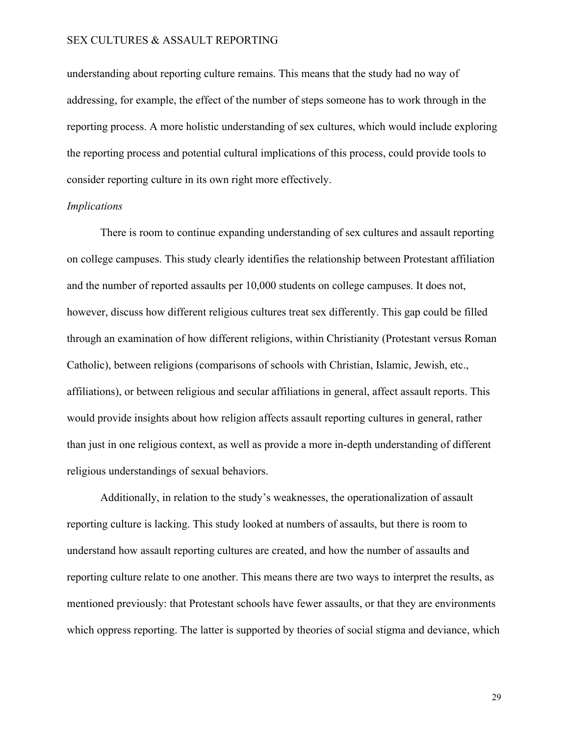understanding about reporting culture remains. This means that the study had no way of addressing, for example, the effect of the number of steps someone has to work through in the reporting process. A more holistic understanding of sex cultures, which would include exploring the reporting process and potential cultural implications of this process, could provide tools to consider reporting culture in its own right more effectively.

#### *Implications*

There is room to continue expanding understanding of sex cultures and assault reporting on college campuses. This study clearly identifies the relationship between Protestant affiliation and the number of reported assaults per 10,000 students on college campuses. It does not, however, discuss how different religious cultures treat sex differently. This gap could be filled through an examination of how different religions, within Christianity (Protestant versus Roman Catholic), between religions (comparisons of schools with Christian, Islamic, Jewish, etc., affiliations), or between religious and secular affiliations in general, affect assault reports. This would provide insights about how religion affects assault reporting cultures in general, rather than just in one religious context, as well as provide a more in-depth understanding of different religious understandings of sexual behaviors.

Additionally, in relation to the study's weaknesses, the operationalization of assault reporting culture is lacking. This study looked at numbers of assaults, but there is room to understand how assault reporting cultures are created, and how the number of assaults and reporting culture relate to one another. This means there are two ways to interpret the results, as mentioned previously: that Protestant schools have fewer assaults, or that they are environments which oppress reporting. The latter is supported by theories of social stigma and deviance, which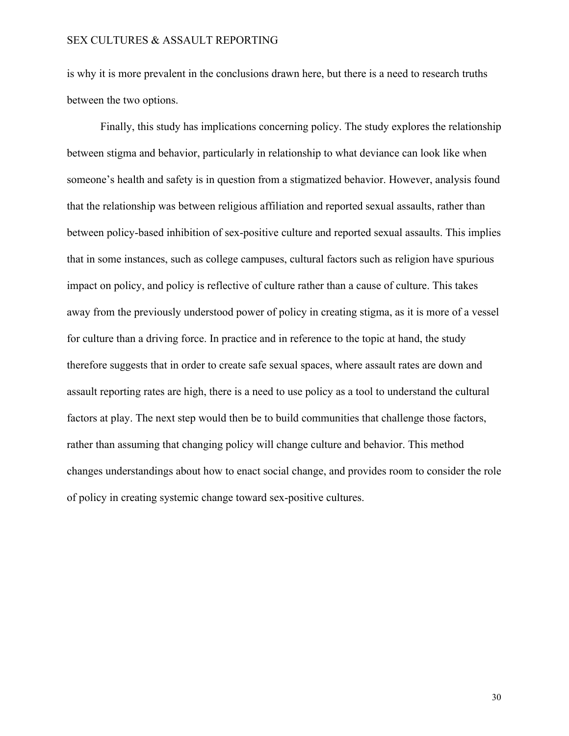is why it is more prevalent in the conclusions drawn here, but there is a need to research truths between the two options.

Finally, this study has implications concerning policy. The study explores the relationship between stigma and behavior, particularly in relationship to what deviance can look like when someone's health and safety is in question from a stigmatized behavior. However, analysis found that the relationship was between religious affiliation and reported sexual assaults, rather than between policy-based inhibition of sex-positive culture and reported sexual assaults. This implies that in some instances, such as college campuses, cultural factors such as religion have spurious impact on policy, and policy is reflective of culture rather than a cause of culture. This takes away from the previously understood power of policy in creating stigma, as it is more of a vessel for culture than a driving force. In practice and in reference to the topic at hand, the study therefore suggests that in order to create safe sexual spaces, where assault rates are down and assault reporting rates are high, there is a need to use policy as a tool to understand the cultural factors at play. The next step would then be to build communities that challenge those factors, rather than assuming that changing policy will change culture and behavior. This method changes understandings about how to enact social change, and provides room to consider the role of policy in creating systemic change toward sex-positive cultures.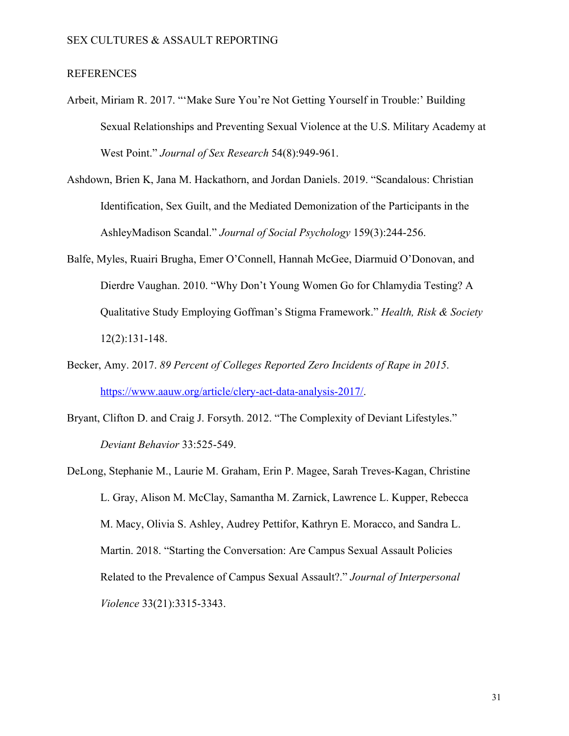### REFERENCES

- Arbeit, Miriam R. 2017. "'Make Sure You're Not Getting Yourself in Trouble:' Building Sexual Relationships and Preventing Sexual Violence at the U.S. Military Academy at West Point." *Journal of Sex Research* 54(8):949-961.
- Ashdown, Brien K, Jana M. Hackathorn, and Jordan Daniels. 2019. "Scandalous: Christian Identification, Sex Guilt, and the Mediated Demonization of the Participants in the AshleyMadison Scandal." *Journal of Social Psychology* 159(3):244-256.
- Balfe, Myles, Ruairi Brugha, Emer O'Connell, Hannah McGee, Diarmuid O'Donovan, and Dierdre Vaughan. 2010. "Why Don't Young Women Go for Chlamydia Testing? A Qualitative Study Employing Goffman's Stigma Framework." *Health, Risk & Society* 12(2):131-148.
- Becker, Amy. 2017. *89 Percent of Colleges Reported Zero Incidents of Rape in 2015*. [https://www.aauw.org/article/clery-act-data-analysis-2017/.](https://www.aauw.org/article/clery-act-data-analysis-2017/)
- Bryant, Clifton D. and Craig J. Forsyth. 2012. "The Complexity of Deviant Lifestyles." *Deviant Behavior* 33:525-549.
- DeLong, Stephanie M., Laurie M. Graham, Erin P. Magee, Sarah Treves-Kagan, Christine L. Gray, Alison M. McClay, Samantha M. Zarnick, Lawrence L. Kupper, Rebecca M. Macy, Olivia S. Ashley, Audrey Pettifor, Kathryn E. Moracco, and Sandra L. Martin. 2018. "Starting the Conversation: Are Campus Sexual Assault Policies Related to the Prevalence of Campus Sexual Assault?." *Journal of Interpersonal Violence* 33(21):3315-3343.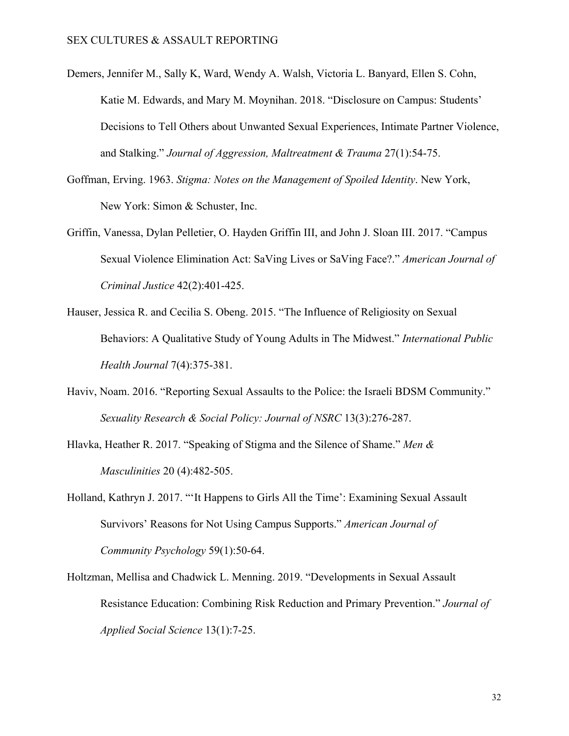- Demers, Jennifer M., Sally K, Ward, Wendy A. Walsh, Victoria L. Banyard, Ellen S. Cohn, Katie M. Edwards, and Mary M. Moynihan. 2018. "Disclosure on Campus: Students' Decisions to Tell Others about Unwanted Sexual Experiences, Intimate Partner Violence, and Stalking." *Journal of Aggression, Maltreatment & Trauma* 27(1):54-75.
- Goffman, Erving. 1963. *Stigma: Notes on the Management of Spoiled Identity*. New York, New York: Simon & Schuster, Inc.
- Griffin, Vanessa, Dylan Pelletier, O. Hayden Griffin III, and John J. Sloan III. 2017. "Campus Sexual Violence Elimination Act: SaVing Lives or SaVing Face?." *American Journal of Criminal Justice* 42(2):401-425.
- Hauser, Jessica R. and Cecilia S. Obeng. 2015. "The Influence of Religiosity on Sexual Behaviors: A Qualitative Study of Young Adults in The Midwest." *International Public Health Journal* 7(4):375-381.
- Haviv, Noam. 2016. "Reporting Sexual Assaults to the Police: the Israeli BDSM Community." *Sexuality Research & Social Policy: Journal of NSRC* 13(3):276-287.
- Hlavka, Heather R. 2017. "Speaking of Stigma and the Silence of Shame." *Men & Masculinities* 20 (4):482-505.
- Holland, Kathryn J. 2017. "'It Happens to Girls All the Time': Examining Sexual Assault Survivors' Reasons for Not Using Campus Supports." *American Journal of Community Psychology* 59(1):50-64.
- Holtzman, Mellisa and Chadwick L. Menning. 2019. "Developments in Sexual Assault Resistance Education: Combining Risk Reduction and Primary Prevention." *Journal of Applied Social Science* 13(1):7-25.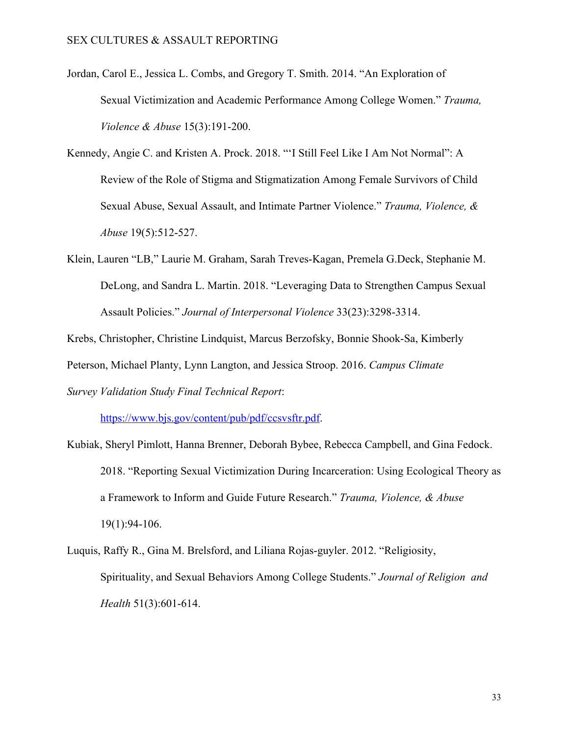- Jordan, Carol E., Jessica L. Combs, and Gregory T. Smith. 2014. "An Exploration of Sexual Victimization and Academic Performance Among College Women." *Trauma, Violence & Abuse* 15(3):191-200.
- Kennedy, Angie C. and Kristen A. Prock. 2018. "'I Still Feel Like I Am Not Normal": A Review of the Role of Stigma and Stigmatization Among Female Survivors of Child Sexual Abuse, Sexual Assault, and Intimate Partner Violence." *Trauma, Violence, & Abuse* 19(5):512-527.
- Klein, Lauren "LB," Laurie M. Graham, Sarah Treves-Kagan, Premela G.Deck, Stephanie M. DeLong, and Sandra L. Martin. 2018. "Leveraging Data to Strengthen Campus Sexual Assault Policies." *Journal of Interpersonal Violence* 33(23):3298-3314.

Krebs, Christopher, Christine Lindquist, Marcus Berzofsky, Bonnie Shook-Sa, Kimberly Peterson, Michael Planty, Lynn Langton, and Jessica Stroop. 2016. *Campus Climate Survey Validation Study Final Technical Report*:

<https://www.bjs.gov/content/pub/pdf/ccsvsftr.pdf>.

- Kubiak, Sheryl Pimlott, Hanna Brenner, Deborah Bybee, Rebecca Campbell, and Gina Fedock. 2018. "Reporting Sexual Victimization During Incarceration: Using Ecological Theory as a Framework to Inform and Guide Future Research." *Trauma, Violence, & Abuse* 19(1):94-106.
- Luquis, Raffy R., Gina M. Brelsford, and Liliana Rojas-guyler. 2012. "Religiosity, Spirituality, and Sexual Behaviors Among College Students." *Journal of Religion and Health* 51(3):601-614.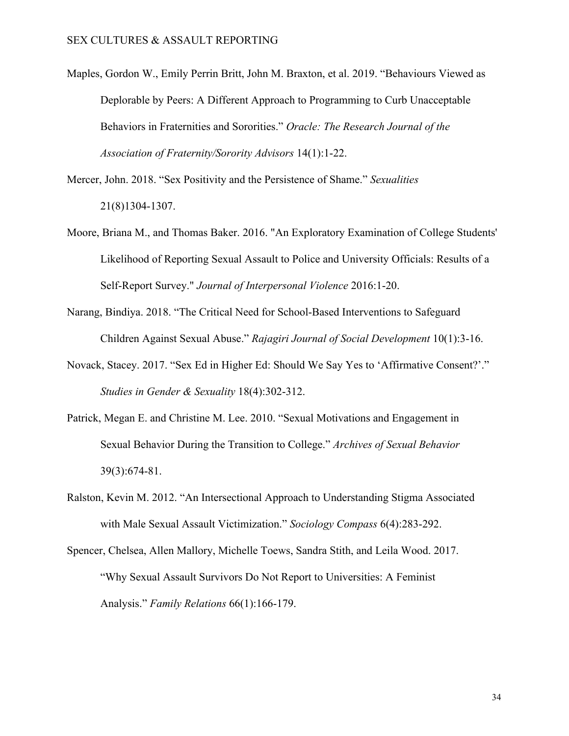Maples, Gordon W., Emily Perrin Britt, John M. Braxton, et al. 2019. "Behaviours Viewed as Deplorable by Peers: A Different Approach to Programming to Curb Unacceptable Behaviors in Fraternities and Sororities." *Oracle: The Research Journal of the Association of Fraternity/Sorority Advisors* 14(1):1-22.

Mercer, John. 2018. "Sex Positivity and the Persistence of Shame." *Sexualities* 21(8)1304-1307.

- Moore, Briana M., and Thomas Baker. 2016. "An Exploratory Examination of College Students' Likelihood of Reporting Sexual Assault to Police and University Officials: Results of a Self-Report Survey." *Journal of Interpersonal Violence* 2016:1-20.
- Narang, Bindiya. 2018. "The Critical Need for School-Based Interventions to Safeguard Children Against Sexual Abuse." *Rajagiri Journal of Social Development* 10(1):3-16.
- Novack, Stacey. 2017. "Sex Ed in Higher Ed: Should We Say Yes to 'Affirmative Consent?'." *Studies in Gender & Sexuality* 18(4):302-312.
- Patrick, Megan E. and Christine M. Lee. 2010. "Sexual Motivations and Engagement in Sexual Behavior During the Transition to College." *Archives of Sexual Behavior* 39(3):674-81.
- Ralston, Kevin M. 2012. "An Intersectional Approach to Understanding Stigma Associated with Male Sexual Assault Victimization." *Sociology Compass* 6(4):283-292.
- Spencer, Chelsea, Allen Mallory, Michelle Toews, Sandra Stith, and Leila Wood. 2017. "Why Sexual Assault Survivors Do Not Report to Universities: A Feminist Analysis." *Family Relations* 66(1):166-179.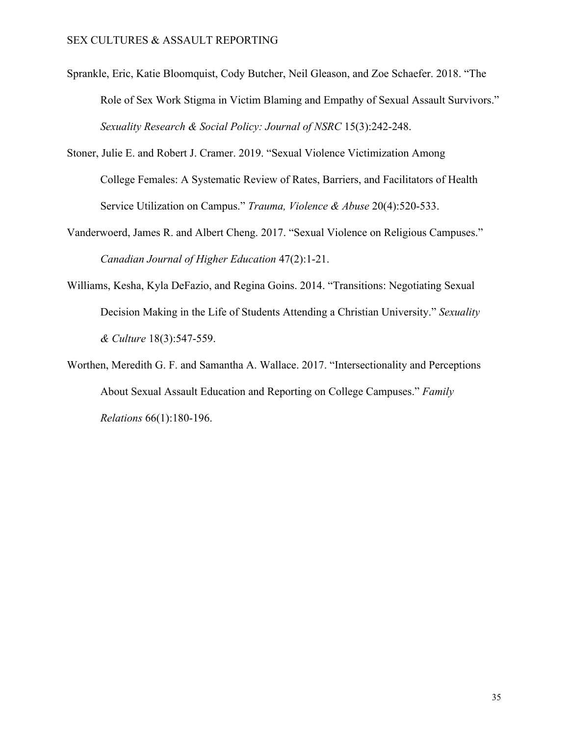- Sprankle, Eric, Katie Bloomquist, Cody Butcher, Neil Gleason, and Zoe Schaefer. 2018. "The Role of Sex Work Stigma in Victim Blaming and Empathy of Sexual Assault Survivors." *Sexuality Research & Social Policy: Journal of NSRC* 15(3):242-248.
- Stoner, Julie E. and Robert J. Cramer. 2019. "Sexual Violence Victimization Among College Females: A Systematic Review of Rates, Barriers, and Facilitators of Health Service Utilization on Campus." *Trauma, Violence & Abuse* 20(4):520-533.
- Vanderwoerd, James R. and Albert Cheng. 2017. "Sexual Violence on Religious Campuses." *Canadian Journal of Higher Education* 47(2):1-21.
- Williams, Kesha, Kyla DeFazio, and Regina Goins. 2014. "Transitions: Negotiating Sexual Decision Making in the Life of Students Attending a Christian University." *Sexuality & Culture* 18(3):547-559.
- Worthen, Meredith G. F. and Samantha A. Wallace. 2017. "Intersectionality and Perceptions About Sexual Assault Education and Reporting on College Campuses." *Family Relations* 66(1):180-196.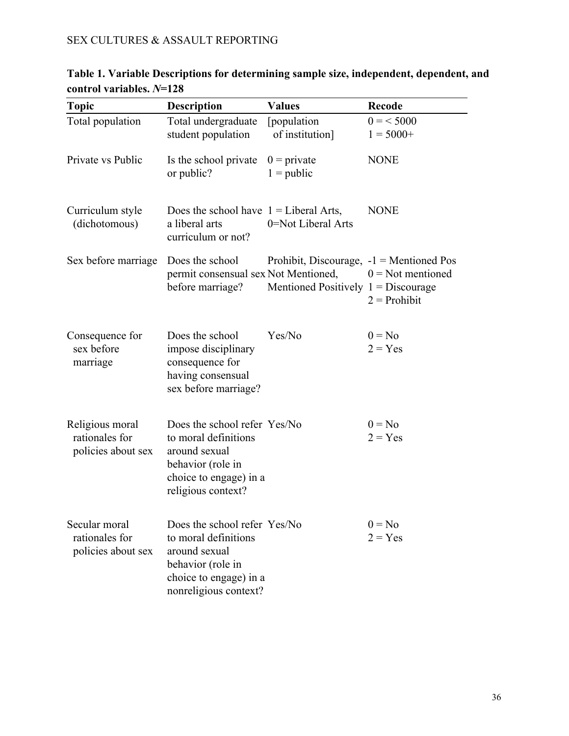| <b>Topic</b>                                            | <b>Description</b>                                                                                                                            | <b>Values</b>                                                                      | <b>Recode</b>                         |
|---------------------------------------------------------|-----------------------------------------------------------------------------------------------------------------------------------------------|------------------------------------------------------------------------------------|---------------------------------------|
| Total population                                        | Total undergraduate<br>student population                                                                                                     | [population<br>of institution]                                                     | $0 = 5000$<br>$1 = 5000+$             |
| Private vs Public                                       | Is the school private<br>or public?                                                                                                           | $0 =$ private<br>$1 = \text{public}$                                               | <b>NONE</b>                           |
| Curriculum style<br>(dichotomous)                       | Does the school have $1 =$ Liberal Arts,<br>a liberal arts<br>curriculum or not?                                                              | 0=Not Liberal Arts                                                                 | <b>NONE</b>                           |
| Sex before marriage                                     | Does the school<br>permit consensual sex Not Mentioned,<br>before marriage?                                                                   | Prohibit, Discourage, $-1$ = Mentioned Pos<br>Mentioned Positively $1 = Discourse$ | $0 = Not$ mentioned<br>$2 =$ Prohibit |
| Consequence for<br>sex before<br>marriage               | Does the school<br>impose disciplinary<br>consequence for<br>having consensual<br>sex before marriage?                                        | Yes/No                                                                             | $0 = No$<br>$2 = Yes$                 |
| Religious moral<br>rationales for<br>policies about sex | Does the school refer Yes/No<br>to moral definitions<br>around sexual<br>behavior (role in<br>choice to engage) in a<br>religious context?    |                                                                                    | $0 = No$<br>$2 = Yes$                 |
| Secular moral<br>rationales for<br>policies about sex   | Does the school refer Yes/No<br>to moral definitions<br>around sexual<br>behavior (role in<br>choice to engage) in a<br>nonreligious context? |                                                                                    | $0 = No$<br>$2 = Yes$                 |

# **Table 1. Variable Descriptions for determining sample size, independent, dependent, and control variables.** *N***=128**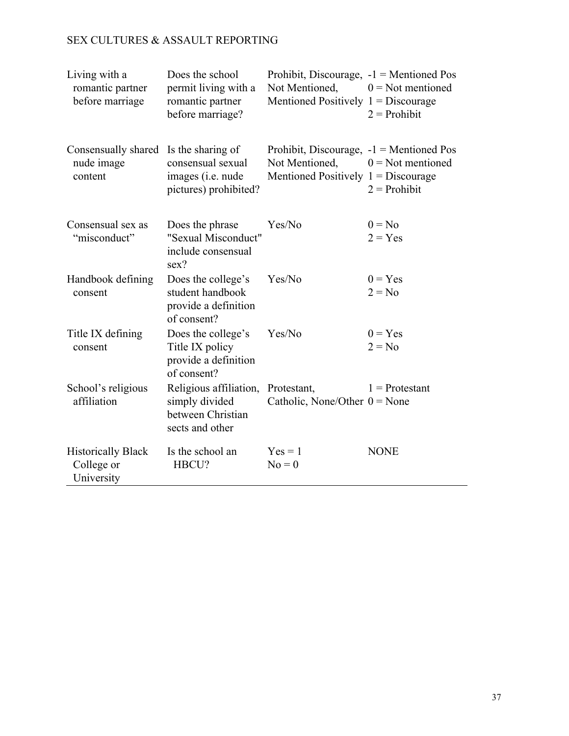| Living with a<br>romantic partner<br>before marriage  | Does the school<br>permit living with a<br>romantic partner<br>before marriage?      | Prohibit, Discourage, $-1$ = Mentioned Pos<br>Not Mentioned,<br>Mentioned Positively $1 = Discourse$ | $0 = Not$ mentioned<br>$2 =$ Prohibit |
|-------------------------------------------------------|--------------------------------------------------------------------------------------|------------------------------------------------------------------------------------------------------|---------------------------------------|
| Consensually shared<br>nude image<br>content          | Is the sharing of<br>consensual sexual<br>images (i.e. nude<br>pictures) prohibited? | Prohibit, Discourage, $-1$ = Mentioned Pos<br>Not Mentioned,<br>Mentioned Positively $1 = Discourse$ | $0 = Not$ mentioned<br>$2 =$ Prohibit |
| Consensual sex as<br>"misconduct"                     | Does the phrase<br>"Sexual Misconduct"<br>include consensual<br>sex?                 | Yes/No                                                                                               | $0 = No$<br>$2 = Yes$                 |
| Handbook defining<br>consent                          | Does the college's<br>student handbook<br>provide a definition<br>of consent?        | Yes/No                                                                                               | $0 = Yes$<br>$2 = No$                 |
| Title IX defining<br>consent                          | Does the college's<br>Title IX policy<br>provide a definition<br>of consent?         | Yes/No                                                                                               | $0 = Yes$<br>$2 = No$                 |
| School's religious<br>affiliation                     | Religious affiliation,<br>simply divided<br>between Christian<br>sects and other     | Protestant,<br>Catholic, None/Other $0 =$ None                                                       | $1$ = Protestant                      |
| <b>Historically Black</b><br>College or<br>University | Is the school an<br>HBCU?                                                            | $Yes = 1$<br>$No = 0$                                                                                | <b>NONE</b>                           |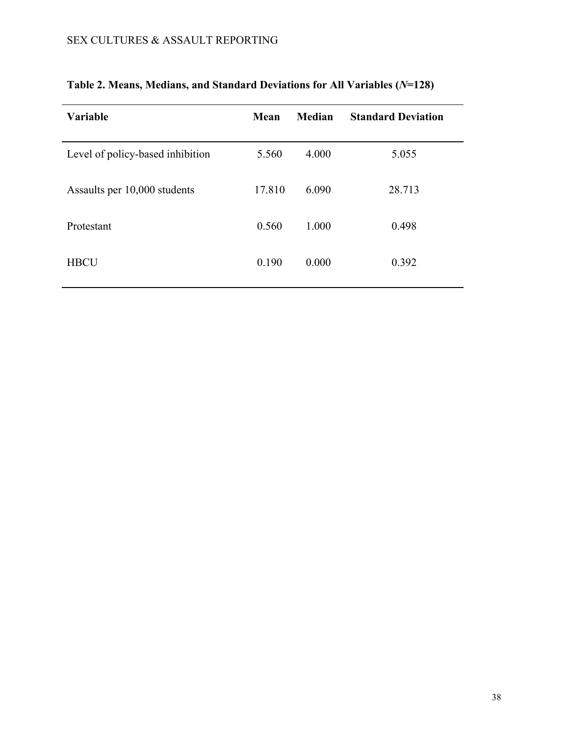| <b>Variable</b>                  | Mean   | Median | <b>Standard Deviation</b> |
|----------------------------------|--------|--------|---------------------------|
| Level of policy-based inhibition | 5.560  | 4.000  | 5.055                     |
| Assaults per 10,000 students     | 17.810 | 6.090  | 28.713                    |
| Protestant                       | 0.560  | 1.000  | 0.498                     |
| <b>HBCU</b>                      | 0.190  | 0.000  | 0.392                     |

# **Table 2. Means, Medians, and Standard Deviations for All Variables (***N***=128)**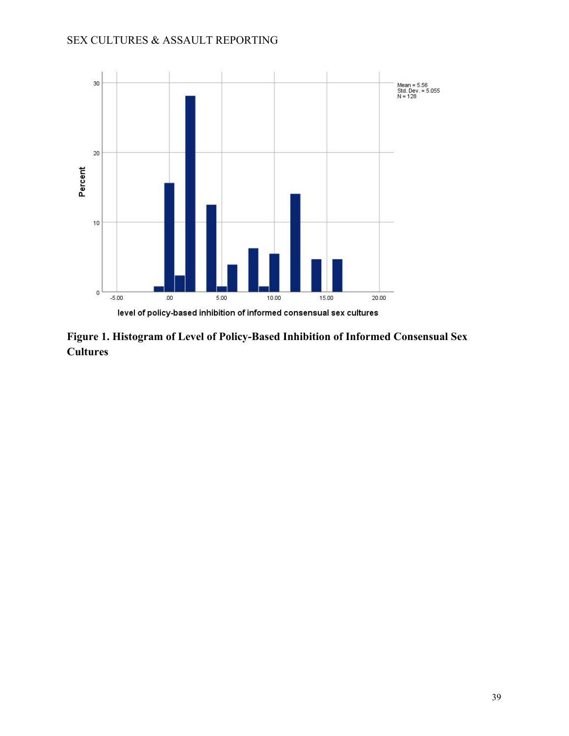

**Figure 1. Histogram of Level of Policy-Based Inhibition of Informed Consensual Sex Cultures**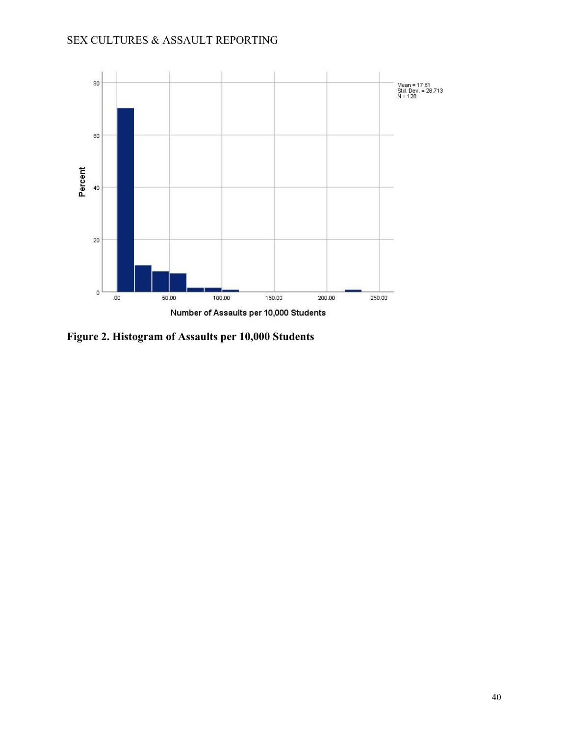

**Figure 2. Histogram of Assaults per 10,000 Students**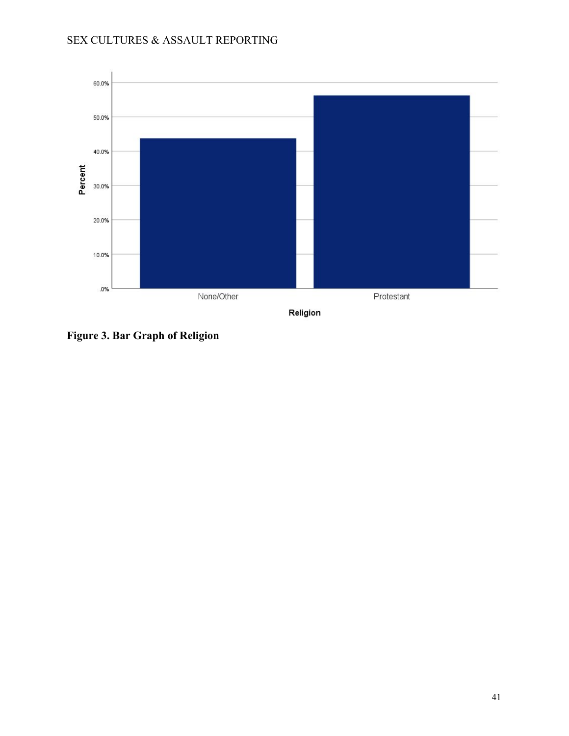

**Figure 3. Bar Graph of Religion**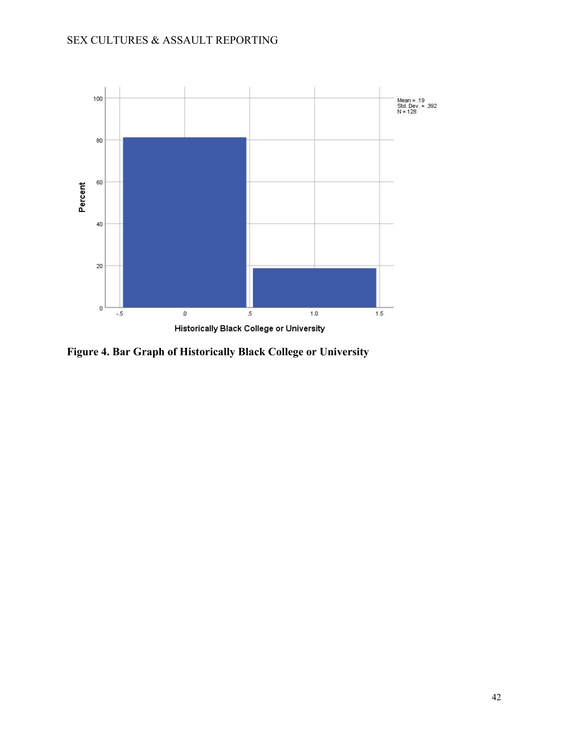

**Figure 4. Bar Graph of Historically Black College or University**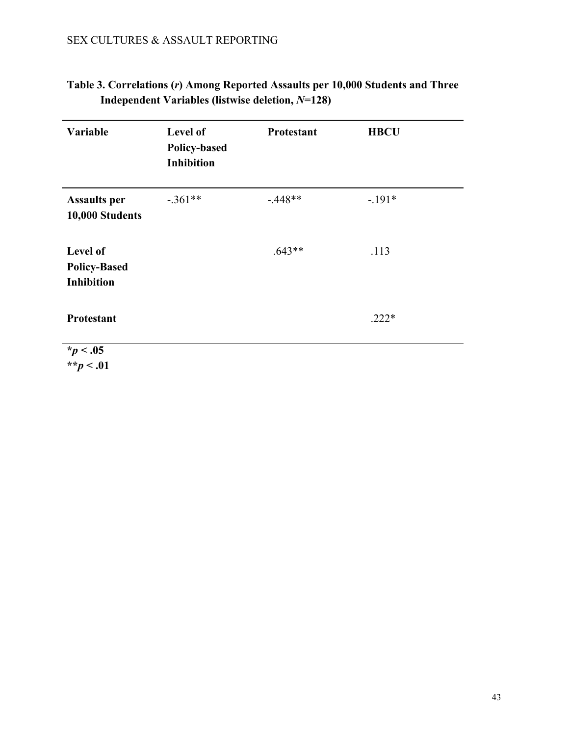| Variable                                      | Level of<br><b>Policy-based</b><br><b>Inhibition</b> | Protestant | <b>HBCU</b> |
|-----------------------------------------------|------------------------------------------------------|------------|-------------|
| <b>Assaults per</b><br>10,000 Students        | $-.361**$                                            | $-448**$   | $-.191*$    |
| Level of<br><b>Policy-Based</b><br>Inhibition |                                                      | $.643**$   | .113        |
| <b>Protestant</b>                             |                                                      |            | $.222*$     |
| $*_{p}$ < .05<br>** $p < .01$                 |                                                      |            |             |

# **Table 3. Correlations (***r***) Among Reported Assaults per 10,000 Students and Three Independent Variables (listwise deletion,** *N***=128)**